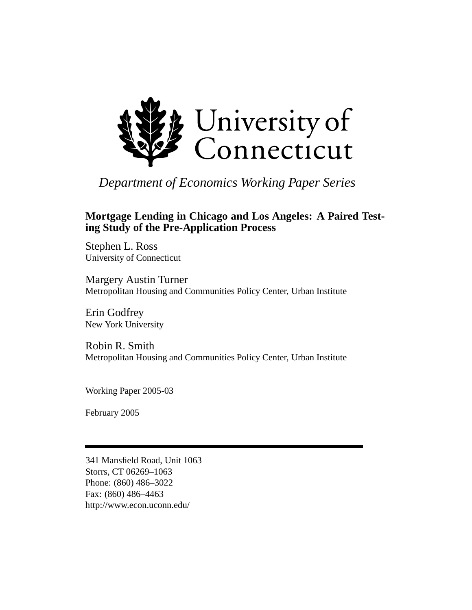

*Department of Economics Working Paper Series*

# **Mortgage Lending in Chicago and Los Angeles: A Paired Testing Study of the Pre-Application Process**

Stephen L. Ross University of Connecticut

Margery Austin Turner Metropolitan Housing and Communities Policy Center, Urban Institute

Erin Godfrey New York University

Robin R. Smith Metropolitan Housing and Communities Policy Center, Urban Institute

Working Paper 2005-03

February 2005

341 Mansfield Road, Unit 1063 Storrs, CT 06269–1063 Phone: (860) 486–3022 Fax: (860) 486–4463 http://www.econ.uconn.edu/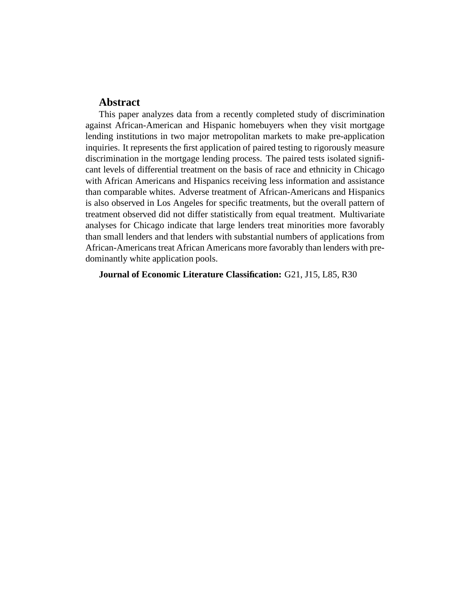# **Abstract**

This paper analyzes data from a recently completed study of discrimination against African-American and Hispanic homebuyers when they visit mortgage lending institutions in two major metropolitan markets to make pre-application inquiries. It represents the first application of paired testing to rigorously measure discrimination in the mortgage lending process. The paired tests isolated significant levels of differential treatment on the basis of race and ethnicity in Chicago with African Americans and Hispanics receiving less information and assistance than comparable whites. Adverse treatment of African-Americans and Hispanics is also observed in Los Angeles for specific treatments, but the overall pattern of treatment observed did not differ statistically from equal treatment. Multivariate analyses for Chicago indicate that large lenders treat minorities more favorably than small lenders and that lenders with substantial numbers of applications from African-Americans treat African Americans more favorably than lenders with predominantly white application pools.

**Journal of Economic Literature Classification:** G21, J15, L85, R30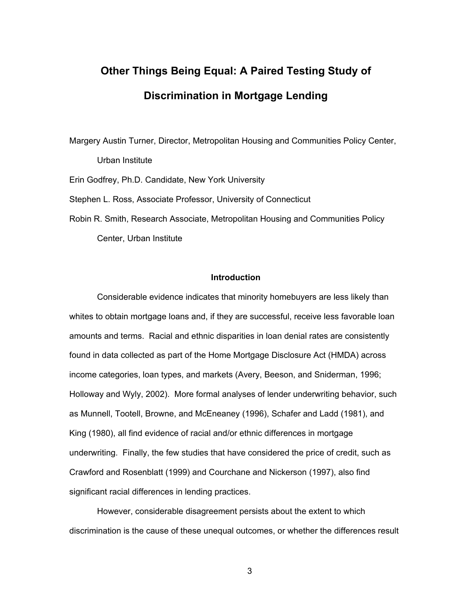# **Other Things Being Equal: A Paired Testing Study of Discrimination in Mortgage Lending**

Margery Austin Turner, Director, Metropolitan Housing and Communities Policy Center, Urban Institute

Erin Godfrey, Ph.D. Candidate, New York University

Stephen L. Ross, Associate Professor, University of Connecticut

Robin R. Smith, Research Associate, Metropolitan Housing and Communities Policy Center, Urban Institute

# **Introduction**

Considerable evidence indicates that minority homebuyers are less likely than whites to obtain mortgage loans and, if they are successful, receive less favorable loan amounts and terms. Racial and ethnic disparities in loan denial rates are consistently found in data collected as part of the Home Mortgage Disclosure Act (HMDA) across income categories, loan types, and markets (Avery, Beeson, and Sniderman, 1996; Holloway and Wyly, 2002). More formal analyses of lender underwriting behavior, such as Munnell, Tootell, Browne, and McEneaney (1996), Schafer and Ladd (1981), and King (1980), all find evidence of racial and/or ethnic differences in mortgage underwriting. Finally, the few studies that have considered the price of credit, such as Crawford and Rosenblatt (1999) and Courchane and Nickerson (1997), also find significant racial differences in lending practices.

However, considerable disagreement persists about the extent to which discrimination is the cause of these unequal outcomes, or whether the differences result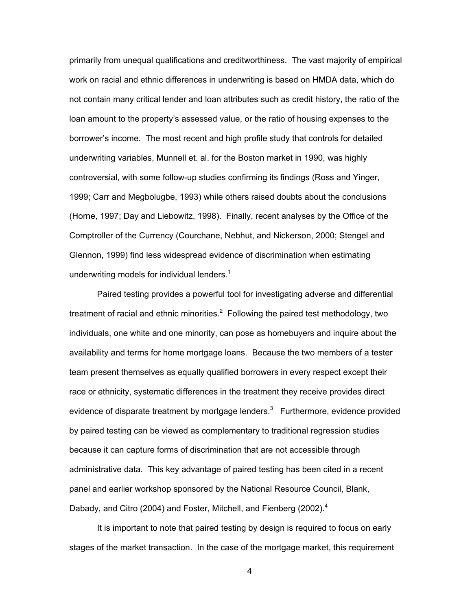primarily from unequal qualifications and creditworthiness. The vast majority of empirical work on racial and ethnic differences in underwriting is based on HMDA data, which do not contain many critical lender and loan attributes such as credit history, the ratio of the loan amount to the property's assessed value, or the ratio of housing expenses to the borrower's income. The most recent and high profile study that controls for detailed underwriting variables, Munnell et. al. for the Boston market in 1990, was highly controversial, with some follow-up studies confirming its findings (Ross and Yinger, 1999; Carr and Megbolugbe, 1993) while others raised doubts about the conclusions (Horne, 1997; Day and Liebowitz, 1998). Finally, recent analyses by the Office of the Comptroller of the Currency (Courchane, Nebhut, and Nickerson, 2000; Stengel and Glennon, 1999) find less widespread evidence of discrimination when estimating underwriting models for individual lenders. $1$ 

Paired testing provides a powerful tool for investigating adverse and differential treatment of racial and ethnic minorities. $^2$  Following the paired test methodology, two individuals, one white and one minority, can pose as homebuyers and inquire about the availability and terms for home mortgage loans. Because the two members of a tester team present themselves as equally qualified borrowers in every respect except their race or ethnicity, systematic differences in the treatment they receive provides direct evidence of disparate treatment by mortgage lenders. $3$  Furthermore, evidence provided by paired testing can be viewed as complementary to traditional regression studies because it can capture forms of discrimination that are not accessible through administrative data. This key advantage of paired testing has been cited in a recent panel and earlier workshop sponsored by the National Resource Council, Blank, Dabady, and Citro (2004) and Foster, Mitchell, and Fienberg (2002).<sup>4</sup>

It is important to note that paired testing by design is required to focus on early stages of the market transaction. In the case of the mortgage market, this requirement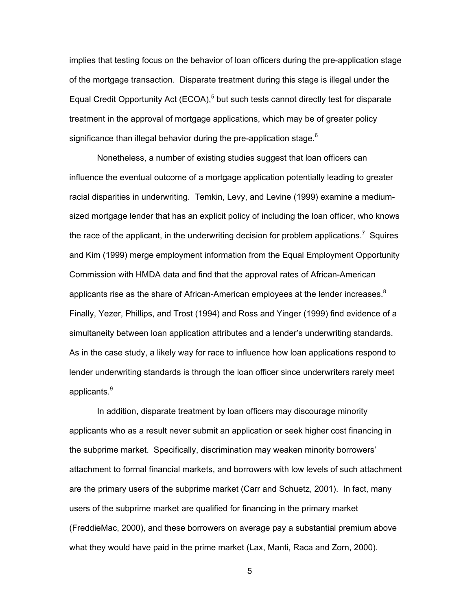implies that testing focus on the behavior of loan officers during the pre-application stage of the mortgage transaction. Disparate treatment during this stage is illegal under the Equal Credit Opportunity Act (ECOA),<sup>5</sup> but such tests cannot directly test for disparate treatment in the approval of mortgage applications, which may be of greater policy significance than illegal behavior during the pre-application stage. $6$ 

Nonetheless, a number of existing studies suggest that loan officers can influence the eventual outcome of a mortgage application potentially leading to greater racial disparities in underwriting. Temkin, Levy, and Levine (1999) examine a mediumsized mortgage lender that has an explicit policy of including the loan officer, who knows the race of the applicant, in the underwriting decision for problem applications.<sup>7</sup> Squires and Kim (1999) merge employment information from the Equal Employment Opportunity Commission with HMDA data and find that the approval rates of African-American applicants rise as the share of African-American employees at the lender increases. $8$ Finally, Yezer, Phillips, and Trost (1994) and Ross and Yinger (1999) find evidence of a simultaneity between loan application attributes and a lender's underwriting standards. As in the case study, a likely way for race to influence how loan applications respond to lender underwriting standards is through the loan officer since underwriters rarely meet applicants.<sup>9</sup>

In addition, disparate treatment by loan officers may discourage minority applicants who as a result never submit an application or seek higher cost financing in the subprime market. Specifically, discrimination may weaken minority borrowers' attachment to formal financial markets, and borrowers with low levels of such attachment are the primary users of the subprime market (Carr and Schuetz, 2001). In fact, many users of the subprime market are qualified for financing in the primary market (FreddieMac, 2000), and these borrowers on average pay a substantial premium above what they would have paid in the prime market (Lax, Manti, Raca and Zorn, 2000).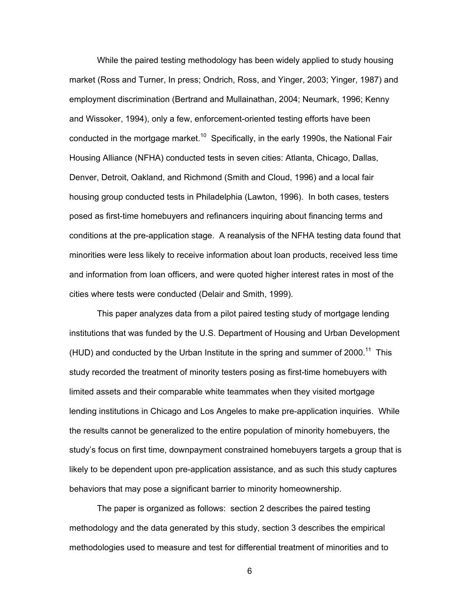While the paired testing methodology has been widely applied to study housing market (Ross and Turner, In press; Ondrich, Ross, and Yinger, 2003; Yinger, 1987) and employment discrimination (Bertrand and Mullainathan, 2004; Neumark, 1996; Kenny and Wissoker, 1994), only a few, enforcement-oriented testing efforts have been conducted in the mortgage market.<sup>10</sup> Specifically, in the early 1990s, the National Fair Housing Alliance (NFHA) conducted tests in seven cities: Atlanta, Chicago, Dallas, Denver, Detroit, Oakland, and Richmond (Smith and Cloud, 1996) and a local fair housing group conducted tests in Philadelphia (Lawton, 1996). In both cases, testers posed as first-time homebuyers and refinancers inquiring about financing terms and conditions at the pre-application stage. A reanalysis of the NFHA testing data found that minorities were less likely to receive information about loan products, received less time and information from loan officers, and were quoted higher interest rates in most of the cities where tests were conducted (Delair and Smith, 1999).

This paper analyzes data from a pilot paired testing study of mortgage lending institutions that was funded by the U.S. Department of Housing and Urban Development (HUD) and conducted by the Urban Institute in the spring and summer of  $2000$ .<sup>11</sup> This study recorded the treatment of minority testers posing as first-time homebuyers with limited assets and their comparable white teammates when they visited mortgage lending institutions in Chicago and Los Angeles to make pre-application inquiries. While the results cannot be generalized to the entire population of minority homebuyers, the study's focus on first time, downpayment constrained homebuyers targets a group that is likely to be dependent upon pre-application assistance, and as such this study captures behaviors that may pose a significant barrier to minority homeownership.

The paper is organized as follows: section 2 describes the paired testing methodology and the data generated by this study, section 3 describes the empirical methodologies used to measure and test for differential treatment of minorities and to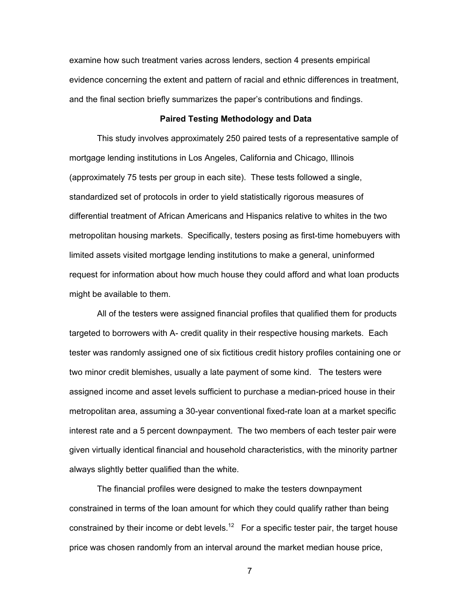examine how such treatment varies across lenders, section 4 presents empirical evidence concerning the extent and pattern of racial and ethnic differences in treatment, and the final section briefly summarizes the paper's contributions and findings.

# **Paired Testing Methodology and Data**

This study involves approximately 250 paired tests of a representative sample of mortgage lending institutions in Los Angeles, California and Chicago, Illinois (approximately 75 tests per group in each site). These tests followed a single, standardized set of protocols in order to yield statistically rigorous measures of differential treatment of African Americans and Hispanics relative to whites in the two metropolitan housing markets. Specifically, testers posing as first-time homebuyers with limited assets visited mortgage lending institutions to make a general, uninformed request for information about how much house they could afford and what loan products might be available to them.

All of the testers were assigned financial profiles that qualified them for products targeted to borrowers with A- credit quality in their respective housing markets. Each tester was randomly assigned one of six fictitious credit history profiles containing one or two minor credit blemishes, usually a late payment of some kind. The testers were assigned income and asset levels sufficient to purchase a median-priced house in their metropolitan area, assuming a 30-year conventional fixed-rate loan at a market specific interest rate and a 5 percent downpayment. The two members of each tester pair were given virtually identical financial and household characteristics, with the minority partner always slightly better qualified than the white.

The financial profiles were designed to make the testers downpayment constrained in terms of the loan amount for which they could qualify rather than being constrained by their income or debt levels.<sup>12</sup> For a specific tester pair, the target house price was chosen randomly from an interval around the market median house price,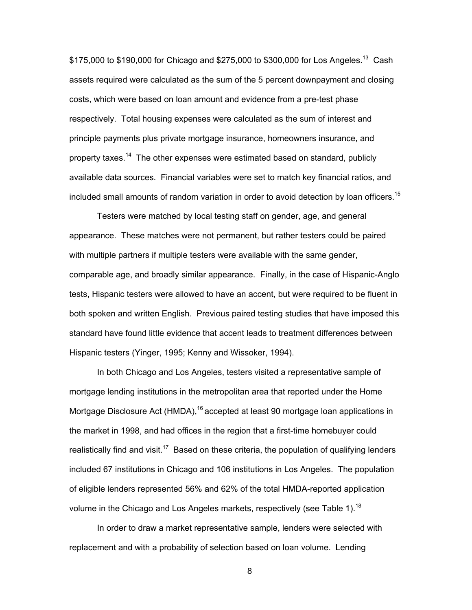\$175,000 to \$190,000 for Chicago and \$275,000 to \$300,000 for Los Angeles.<sup>13</sup> Cash assets required were calculated as the sum of the 5 percent downpayment and closing costs, which were based on loan amount and evidence from a pre-test phase respectively. Total housing expenses were calculated as the sum of interest and principle payments plus private mortgage insurance, homeowners insurance, and property taxes.<sup>14</sup> The other expenses were estimated based on standard, publicly available data sources. Financial variables were set to match key financial ratios, and included small amounts of random variation in order to avoid detection by loan officers.<sup>15</sup>

Testers were matched by local testing staff on gender, age, and general appearance. These matches were not permanent, but rather testers could be paired with multiple partners if multiple testers were available with the same gender, comparable age, and broadly similar appearance. Finally, in the case of Hispanic-Anglo tests, Hispanic testers were allowed to have an accent, but were required to be fluent in both spoken and written English. Previous paired testing studies that have imposed this standard have found little evidence that accent leads to treatment differences between Hispanic testers (Yinger, 1995; Kenny and Wissoker, 1994).

In both Chicago and Los Angeles, testers visited a representative sample of mortgage lending institutions in the metropolitan area that reported under the Home Mortgage Disclosure Act (HMDA),<sup>16</sup> accepted at least 90 mortgage loan applications in the market in 1998, and had offices in the region that a first-time homebuyer could realistically find and visit.<sup>17</sup> Based on these criteria, the population of qualifying lenders included 67 institutions in Chicago and 106 institutions in Los Angeles. The population of eligible lenders represented 56% and 62% of the total HMDA-reported application volume in the Chicago and Los Angeles markets, respectively (see Table 1).<sup>18</sup>

In order to draw a market representative sample, lenders were selected with replacement and with a probability of selection based on loan volume. Lending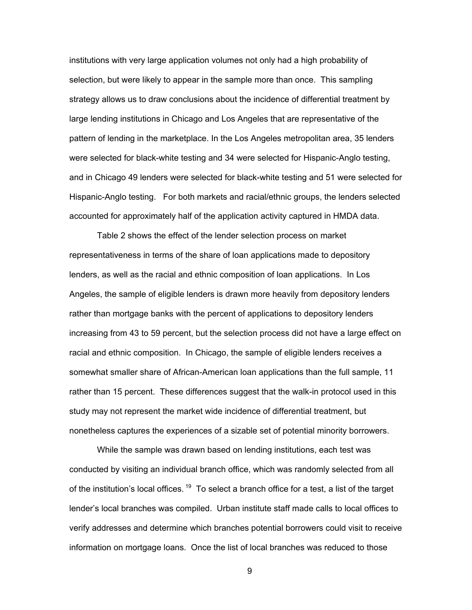institutions with very large application volumes not only had a high probability of selection, but were likely to appear in the sample more than once. This sampling strategy allows us to draw conclusions about the incidence of differential treatment by large lending institutions in Chicago and Los Angeles that are representative of the pattern of lending in the marketplace. In the Los Angeles metropolitan area, 35 lenders were selected for black-white testing and 34 were selected for Hispanic-Anglo testing, and in Chicago 49 lenders were selected for black-white testing and 51 were selected for Hispanic-Anglo testing. For both markets and racial/ethnic groups, the lenders selected accounted for approximately half of the application activity captured in HMDA data.

Table 2 shows the effect of the lender selection process on market representativeness in terms of the share of loan applications made to depository lenders, as well as the racial and ethnic composition of loan applications. In Los Angeles, the sample of eligible lenders is drawn more heavily from depository lenders rather than mortgage banks with the percent of applications to depository lenders increasing from 43 to 59 percent, but the selection process did not have a large effect on racial and ethnic composition. In Chicago, the sample of eligible lenders receives a somewhat smaller share of African-American loan applications than the full sample, 11 rather than 15 percent. These differences suggest that the walk-in protocol used in this study may not represent the market wide incidence of differential treatment, but nonetheless captures the experiences of a sizable set of potential minority borrowers.

While the sample was drawn based on lending institutions, each test was conducted by visiting an individual branch office, which was randomly selected from all of the institution's local offices.  $19$  To select a branch office for a test, a list of the target lender's local branches was compiled. Urban institute staff made calls to local offices to verify addresses and determine which branches potential borrowers could visit to receive information on mortgage loans. Once the list of local branches was reduced to those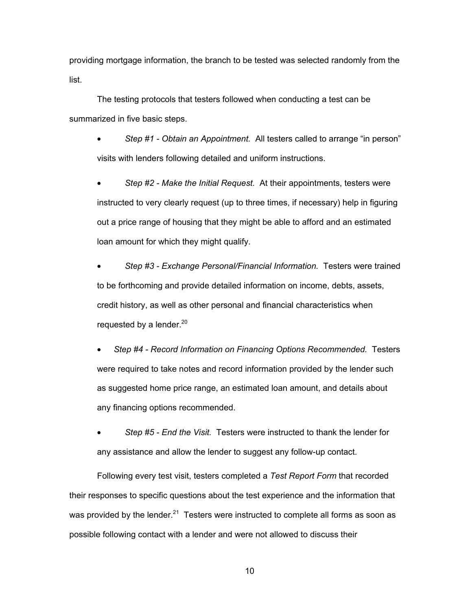providing mortgage information, the branch to be tested was selected randomly from the list.

The testing protocols that testers followed when conducting a test can be summarized in five basic steps.

• *Step #1 - Obtain an Appointment.* All testers called to arrange "in person" visits with lenders following detailed and uniform instructions.

• *Step #2 - Make the Initial Request.* At their appointments, testers were instructed to very clearly request (up to three times, if necessary) help in figuring out a price range of housing that they might be able to afford and an estimated loan amount for which they might qualify.

• *Step #3 - Exchange Personal/Financial Information.* Testers were trained to be forthcoming and provide detailed information on income, debts, assets, credit history, as well as other personal and financial characteristics when requested by a lender. $20<sup>20</sup>$ 

• *Step #4 - Record Information on Financing Options Recommended.* Testers were required to take notes and record information provided by the lender such as suggested home price range, an estimated loan amount, and details about any financing options recommended.

• *Step #5 - End the Visit.* Testers were instructed to thank the lender for any assistance and allow the lender to suggest any follow-up contact.

Following every test visit, testers completed a *Test Report Form* that recorded their responses to specific questions about the test experience and the information that was provided by the lender.<sup>21</sup> Testers were instructed to complete all forms as soon as possible following contact with a lender and were not allowed to discuss their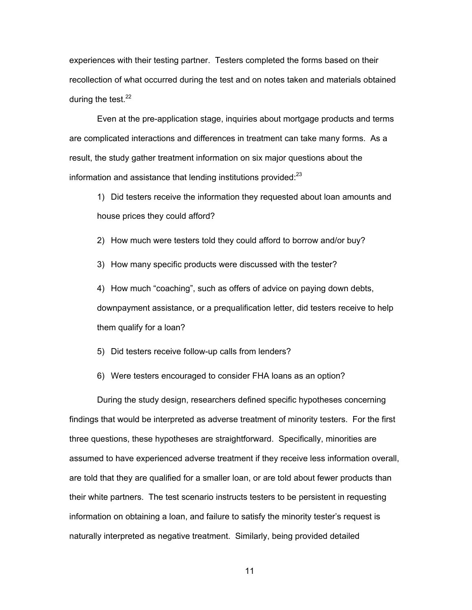experiences with their testing partner. Testers completed the forms based on their recollection of what occurred during the test and on notes taken and materials obtained during the test. $22$ 

Even at the pre-application stage, inquiries about mortgage products and terms are complicated interactions and differences in treatment can take many forms. As a result, the study gather treatment information on six major questions about the information and assistance that lending institutions provided: $^{23}$ 

1) Did testers receive the information they requested about loan amounts and house prices they could afford?

2) How much were testers told they could afford to borrow and/or buy?

3) How many specific products were discussed with the tester?

4) How much "coaching", such as offers of advice on paying down debts, downpayment assistance, or a prequalification letter, did testers receive to help them qualify for a loan?

5) Did testers receive follow-up calls from lenders?

6) Were testers encouraged to consider FHA loans as an option?

During the study design, researchers defined specific hypotheses concerning findings that would be interpreted as adverse treatment of minority testers. For the first three questions, these hypotheses are straightforward. Specifically, minorities are assumed to have experienced adverse treatment if they receive less information overall, are told that they are qualified for a smaller loan, or are told about fewer products than their white partners. The test scenario instructs testers to be persistent in requesting information on obtaining a loan, and failure to satisfy the minority tester's request is naturally interpreted as negative treatment. Similarly, being provided detailed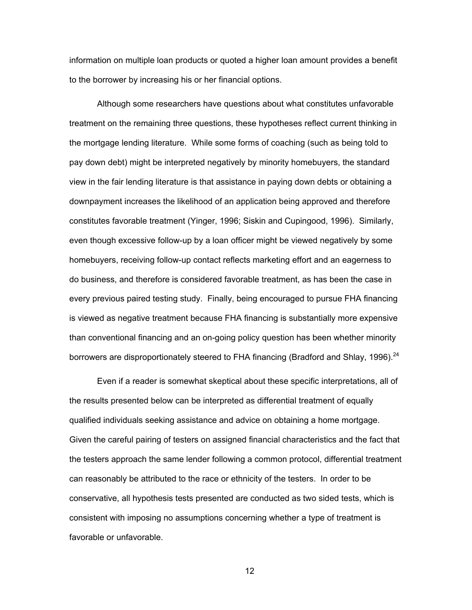information on multiple loan products or quoted a higher loan amount provides a benefit to the borrower by increasing his or her financial options.

Although some researchers have questions about what constitutes unfavorable treatment on the remaining three questions, these hypotheses reflect current thinking in the mortgage lending literature. While some forms of coaching (such as being told to pay down debt) might be interpreted negatively by minority homebuyers, the standard view in the fair lending literature is that assistance in paying down debts or obtaining a downpayment increases the likelihood of an application being approved and therefore constitutes favorable treatment (Yinger, 1996; Siskin and Cupingood, 1996). Similarly, even though excessive follow-up by a loan officer might be viewed negatively by some homebuyers, receiving follow-up contact reflects marketing effort and an eagerness to do business, and therefore is considered favorable treatment, as has been the case in every previous paired testing study. Finally, being encouraged to pursue FHA financing is viewed as negative treatment because FHA financing is substantially more expensive than conventional financing and an on-going policy question has been whether minority borrowers are disproportionately steered to FHA financing (Bradford and Shlay, 1996).  $^{24}$ 

Even if a reader is somewhat skeptical about these specific interpretations, all of the results presented below can be interpreted as differential treatment of equally qualified individuals seeking assistance and advice on obtaining a home mortgage. Given the careful pairing of testers on assigned financial characteristics and the fact that the testers approach the same lender following a common protocol, differential treatment can reasonably be attributed to the race or ethnicity of the testers. In order to be conservative, all hypothesis tests presented are conducted as two sided tests, which is consistent with imposing no assumptions concerning whether a type of treatment is favorable or unfavorable.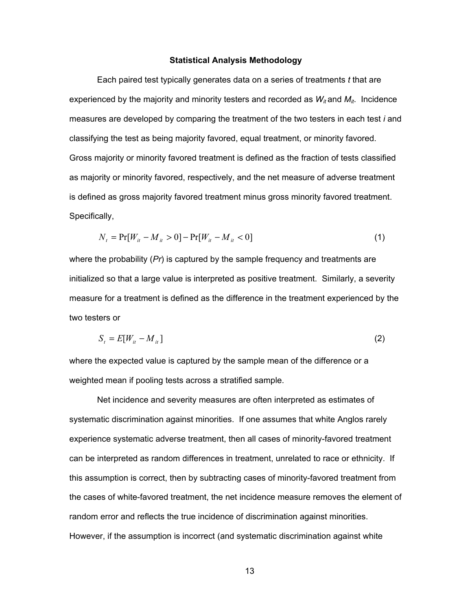#### **Statistical Analysis Methodology**

Each paired test typically generates data on a series of treatments *t* that are experienced by the majority and minority testers and recorded as  $W_{it}$  and  $M_{it}$ . Incidence measures are developed by comparing the treatment of the two testers in each test *i* and classifying the test as being majority favored, equal treatment, or minority favored. Gross majority or minority favored treatment is defined as the fraction of tests classified as majority or minority favored, respectively, and the net measure of adverse treatment is defined as gross majority favored treatment minus gross minority favored treatment. Specifically,

$$
N_{t} = \Pr[W_{it} - M_{it} > 0] - \Pr[W_{it} - M_{it} < 0]
$$
\n(1)

where the probability (*Pr*) is captured by the sample frequency and treatments are initialized so that a large value is interpreted as positive treatment. Similarly, a severity measure for a treatment is defined as the difference in the treatment experienced by the two testers or

$$
S_t = E[W_{it} - M_{it}] \tag{2}
$$

where the expected value is captured by the sample mean of the difference or a weighted mean if pooling tests across a stratified sample.

Net incidence and severity measures are often interpreted as estimates of systematic discrimination against minorities. If one assumes that white Anglos rarely experience systematic adverse treatment, then all cases of minority-favored treatment can be interpreted as random differences in treatment, unrelated to race or ethnicity. If this assumption is correct, then by subtracting cases of minority-favored treatment from the cases of white-favored treatment, the net incidence measure removes the element of random error and reflects the true incidence of discrimination against minorities. However, if the assumption is incorrect (and systematic discrimination against white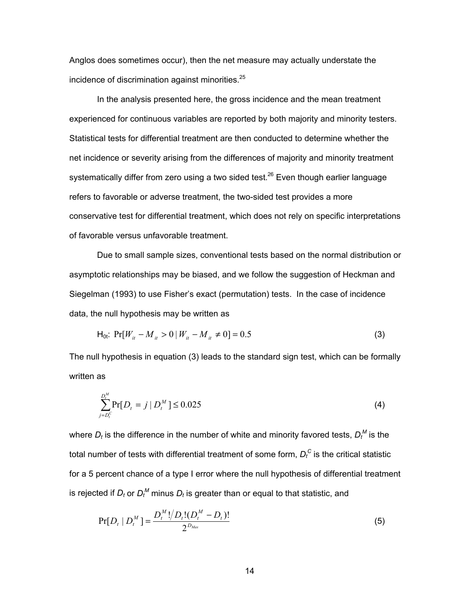Anglos does sometimes occur), then the net measure may actually understate the incidence of discrimination against minorities.<sup>25</sup>

In the analysis presented here, the gross incidence and the mean treatment experienced for continuous variables are reported by both majority and minority testers. Statistical tests for differential treatment are then conducted to determine whether the net incidence or severity arising from the differences of majority and minority treatment systematically differ from zero using a two sided test.<sup>26</sup> Even though earlier language refers to favorable or adverse treatment, the two-sided test provides a more conservative test for differential treatment, which does not rely on specific interpretations of favorable versus unfavorable treatment.

Due to small sample sizes, conventional tests based on the normal distribution or asymptotic relationships may be biased, and we follow the suggestion of Heckman and Siegelman (1993) to use Fisher's exact (permutation) tests. In the case of incidence data, the null hypothesis may be written as

$$
H_{0t}: Pr[W_{it} - M_{it} > 0 | W_{it} - M_{it} \neq 0] = 0.5
$$
\n(3)

The null hypothesis in equation (3) leads to the standard sign test, which can be formally written as

$$
\sum_{j=D_i^C}^{D_i^M} \Pr[D_i = j \mid D_i^M] \le 0.025 \tag{4}
$$

where  $D_t$  is the difference in the number of white and minority favored tests,  $D_t^{\,M}$  is the total number of tests with differential treatment of some form,  $D_t^{\, \mathsf{C}}$  is the critical statistic for a 5 percent chance of a type I error where the null hypothesis of differential treatment is rejected if  $D_t$  or  $D_t^M$  minus  $D_t$  is greater than or equal to that statistic, and

$$
Pr[D_t | D_t^M] = \frac{D_t^M! / D_t! (D_t^M - D_t)!}{2^{D_{Max}}}
$$
\n(5)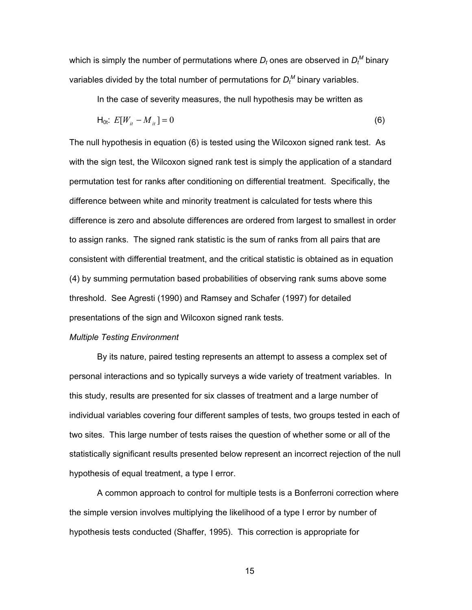which is simply the number of permutations where  $D_t$  ones are observed in  $D_t^M$  binary variables divided by the total number of permutations for  $D_t^M$  binary variables.

In the case of severity measures, the null hypothesis may be written as

$$
\mathsf{H}_{0t}: E[W_{it} - M_{it}] = 0 \tag{6}
$$

The null hypothesis in equation (6) is tested using the Wilcoxon signed rank test. As with the sign test, the Wilcoxon signed rank test is simply the application of a standard permutation test for ranks after conditioning on differential treatment. Specifically, the difference between white and minority treatment is calculated for tests where this difference is zero and absolute differences are ordered from largest to smallest in order to assign ranks. The signed rank statistic is the sum of ranks from all pairs that are consistent with differential treatment, and the critical statistic is obtained as in equation (4) by summing permutation based probabilities of observing rank sums above some threshold. See Agresti (1990) and Ramsey and Schafer (1997) for detailed presentations of the sign and Wilcoxon signed rank tests.

#### *Multiple Testing Environment*

By its nature, paired testing represents an attempt to assess a complex set of personal interactions and so typically surveys a wide variety of treatment variables. In this study, results are presented for six classes of treatment and a large number of individual variables covering four different samples of tests, two groups tested in each of two sites. This large number of tests raises the question of whether some or all of the statistically significant results presented below represent an incorrect rejection of the null hypothesis of equal treatment, a type I error.

A common approach to control for multiple tests is a Bonferroni correction where the simple version involves multiplying the likelihood of a type I error by number of hypothesis tests conducted (Shaffer, 1995). This correction is appropriate for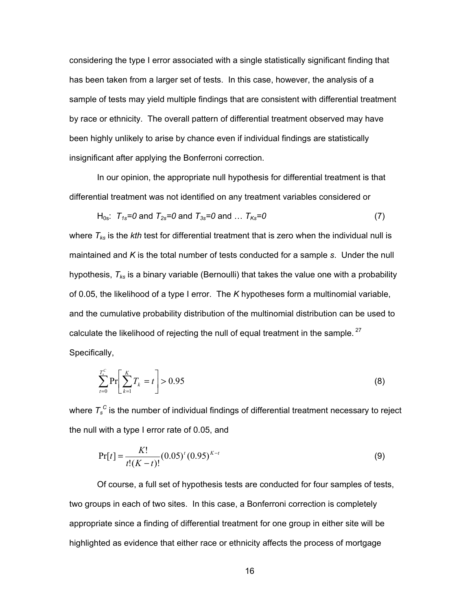considering the type I error associated with a single statistically significant finding that has been taken from a larger set of tests. In this case, however, the analysis of a sample of tests may yield multiple findings that are consistent with differential treatment by race or ethnicity. The overall pattern of differential treatment observed may have been highly unlikely to arise by chance even if individual findings are statistically insignificant after applying the Bonferroni correction.

In our opinion, the appropriate null hypothesis for differential treatment is that differential treatment was not identified on any treatment variables considered or

$$
H_{0s}: T_{1s}=0 \text{ and } T_{2s}=0 \text{ and } T_{3s}=0 \text{ and } \dots T_{Ks}=0 \tag{7}
$$

where *Tks* is the *kth* test for differential treatment that is zero when the individual null is maintained and *K* is the total number of tests conducted for a sample *s*. Under the null hypothesis, *Tks* is a binary variable (Bernoulli) that takes the value one with a probability of 0.05, the likelihood of a type I error. The *K* hypotheses form a multinomial variable, and the cumulative probability distribution of the multinomial distribution can be used to calculate the likelihood of rejecting the null of equal treatment in the sample.<sup>27</sup> Specifically,

$$
\sum_{t=0}^{T_s^C} \Pr\bigg[\sum_{k=1}^K T_k = t\bigg] > 0.95\tag{8}
$$

where  $\textcolor{black}{T_s^{\:c}}$  is the number of individual findings of differential treatment necessary to reject the null with a type I error rate of 0.05, and

$$
Pr[t] = \frac{K!}{t!(K-t)!} (0.05)^{t} (0.95)^{K-t}
$$
\n(9)

Of course, a full set of hypothesis tests are conducted for four samples of tests, two groups in each of two sites. In this case, a Bonferroni correction is completely appropriate since a finding of differential treatment for one group in either site will be highlighted as evidence that either race or ethnicity affects the process of mortgage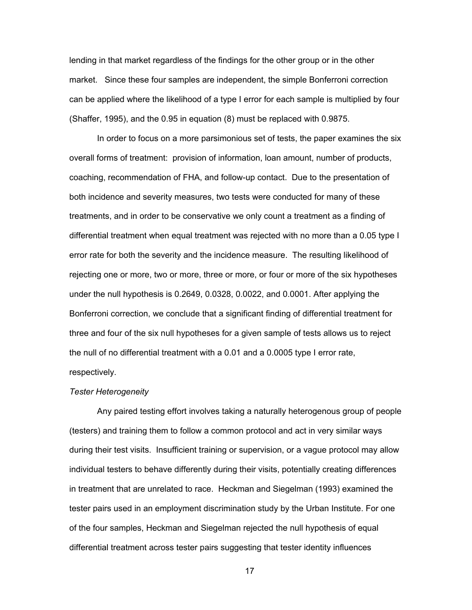lending in that market regardless of the findings for the other group or in the other market. Since these four samples are independent, the simple Bonferroni correction can be applied where the likelihood of a type I error for each sample is multiplied by four (Shaffer, 1995), and the 0.95 in equation (8) must be replaced with 0.9875.

In order to focus on a more parsimonious set of tests, the paper examines the six overall forms of treatment: provision of information, loan amount, number of products, coaching, recommendation of FHA, and follow-up contact. Due to the presentation of both incidence and severity measures, two tests were conducted for many of these treatments, and in order to be conservative we only count a treatment as a finding of differential treatment when equal treatment was rejected with no more than a 0.05 type I error rate for both the severity and the incidence measure. The resulting likelihood of rejecting one or more, two or more, three or more, or four or more of the six hypotheses under the null hypothesis is 0.2649, 0.0328, 0.0022, and 0.0001. After applying the Bonferroni correction, we conclude that a significant finding of differential treatment for three and four of the six null hypotheses for a given sample of tests allows us to reject the null of no differential treatment with a 0.01 and a 0.0005 type I error rate, respectively.

#### *Tester Heterogeneity*

Any paired testing effort involves taking a naturally heterogenous group of people (testers) and training them to follow a common protocol and act in very similar ways during their test visits. Insufficient training or supervision, or a vague protocol may allow individual testers to behave differently during their visits, potentially creating differences in treatment that are unrelated to race. Heckman and Siegelman (1993) examined the tester pairs used in an employment discrimination study by the Urban Institute. For one of the four samples, Heckman and Siegelman rejected the null hypothesis of equal differential treatment across tester pairs suggesting that tester identity influences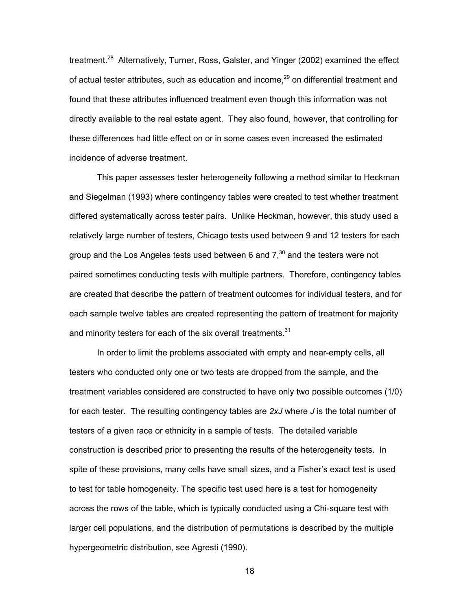treatment.<sup>28</sup> Alternatively, Turner, Ross, Galster, and Yinger (2002) examined the effect of actual tester attributes, such as education and income, $^{29}$  on differential treatment and found that these attributes influenced treatment even though this information was not directly available to the real estate agent. They also found, however, that controlling for these differences had little effect on or in some cases even increased the estimated incidence of adverse treatment.

This paper assesses tester heterogeneity following a method similar to Heckman and Siegelman (1993) where contingency tables were created to test whether treatment differed systematically across tester pairs. Unlike Heckman, however, this study used a relatively large number of testers, Chicago tests used between 9 and 12 testers for each group and the Los Angeles tests used between 6 and  $7<sup>30</sup>$  and the testers were not paired sometimes conducting tests with multiple partners. Therefore, contingency tables are created that describe the pattern of treatment outcomes for individual testers, and for each sample twelve tables are created representing the pattern of treatment for majority and minority testers for each of the six overall treatments. $31$ 

In order to limit the problems associated with empty and near-empty cells, all testers who conducted only one or two tests are dropped from the sample, and the treatment variables considered are constructed to have only two possible outcomes (1/0) for each tester. The resulting contingency tables are *2xJ* where *J* is the total number of testers of a given race or ethnicity in a sample of tests. The detailed variable construction is described prior to presenting the results of the heterogeneity tests. In spite of these provisions, many cells have small sizes, and a Fisher's exact test is used to test for table homogeneity. The specific test used here is a test for homogeneity across the rows of the table, which is typically conducted using a Chi-square test with larger cell populations, and the distribution of permutations is described by the multiple hypergeometric distribution, see Agresti (1990).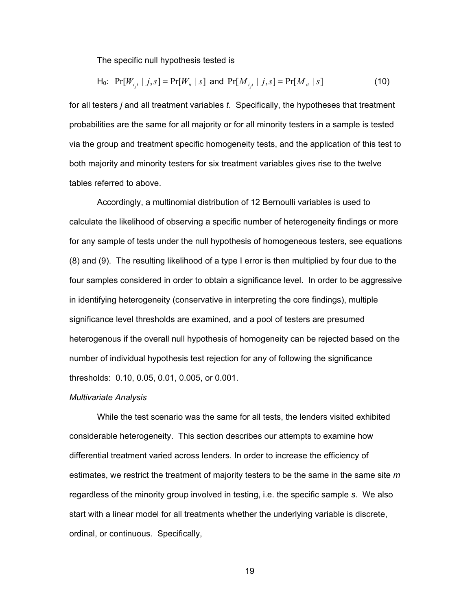The specific null hypothesis tested is

H<sub>0</sub>: 
$$
Pr[W_{i,t} | j, s] = Pr[W_{it} | s]
$$
 and  $Pr[M_{i,t} | j, s] = Pr[M_{it} | s]$  (10)

for all testers *j* and all treatment variables *t*. Specifically, the hypotheses that treatment probabilities are the same for all majority or for all minority testers in a sample is tested via the group and treatment specific homogeneity tests, and the application of this test to both majority and minority testers for six treatment variables gives rise to the twelve tables referred to above.

Accordingly, a multinomial distribution of 12 Bernoulli variables is used to calculate the likelihood of observing a specific number of heterogeneity findings or more for any sample of tests under the null hypothesis of homogeneous testers, see equations (8) and (9). The resulting likelihood of a type I error is then multiplied by four due to the four samples considered in order to obtain a significance level. In order to be aggressive in identifying heterogeneity (conservative in interpreting the core findings), multiple significance level thresholds are examined, and a pool of testers are presumed heterogenous if the overall null hypothesis of homogeneity can be rejected based on the number of individual hypothesis test rejection for any of following the significance thresholds: 0.10, 0.05, 0.01, 0.005, or 0.001.

#### *Multivariate Analysis*

While the test scenario was the same for all tests, the lenders visited exhibited considerable heterogeneity. This section describes our attempts to examine how differential treatment varied across lenders. In order to increase the efficiency of estimates, we restrict the treatment of majority testers to be the same in the same site *m* regardless of the minority group involved in testing, i.e. the specific sample *s*. We also start with a linear model for all treatments whether the underlying variable is discrete, ordinal, or continuous. Specifically,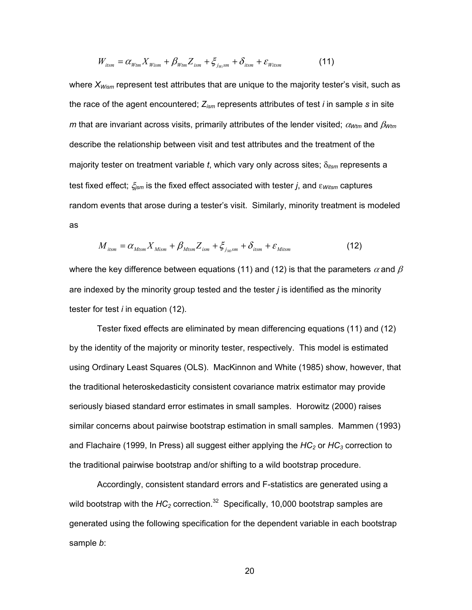$$
W_{itsm} = \alpha_{Wtm} X_{Wism} + \beta_{Wtm} Z_{ism} + \xi_{j_{Ws}sm} + \delta_{itsm} + \varepsilon_{Witsm}
$$
(11)

where  $X_{Wism}$  represent test attributes that are unique to the majority tester's visit, such as the race of the agent encountered; *Zism* represents attributes of test *i* in sample *s* in site *m* that are invariant across visits, primarily attributes of the lender visited; <sup>α</sup>*Wtm* and β*Wtm* describe the relationship between visit and test attributes and the treatment of the majority tester on treatment variable *t*, which vary only across sites; δ*itsm* represents a test fixed effect; ξ*jsm* is the fixed effect associated with tester *j*, and ε*Witsm* captures random events that arose during a tester's visit. Similarly, minority treatment is modeled as

$$
M_{\text{itsm}} = \alpha_{\text{Mtsm}} X_{\text{Mism}} + \beta_{\text{Mtsm}} Z_{\text{ism}} + \xi_{\text{j}_\text{Ms}} + \delta_{\text{itsm}} + \varepsilon_{\text{Mitsm}} \tag{12}
$$

where the key difference between equations (11) and (12) is that the parameters  $\alpha$  and  $\beta$ are indexed by the minority group tested and the tester *j* is identified as the minority tester for test *i* in equation (12).

Tester fixed effects are eliminated by mean differencing equations (11) and (12) by the identity of the majority or minority tester, respectively. This model is estimated using Ordinary Least Squares (OLS). MacKinnon and White (1985) show, however, that the traditional heteroskedasticity consistent covariance matrix estimator may provide seriously biased standard error estimates in small samples. Horowitz (2000) raises similar concerns about pairwise bootstrap estimation in small samples. Mammen (1993) and Flachaire (1999, In Press) all suggest either applying the *HC<sub>2</sub>* or *HC<sub>3</sub>* correction to the traditional pairwise bootstrap and/or shifting to a wild bootstrap procedure.

Accordingly, consistent standard errors and F-statistics are generated using a wild bootstrap with the  $HC_2$  correction.<sup>32</sup> Specifically, 10,000 bootstrap samples are generated using the following specification for the dependent variable in each bootstrap sample *b*: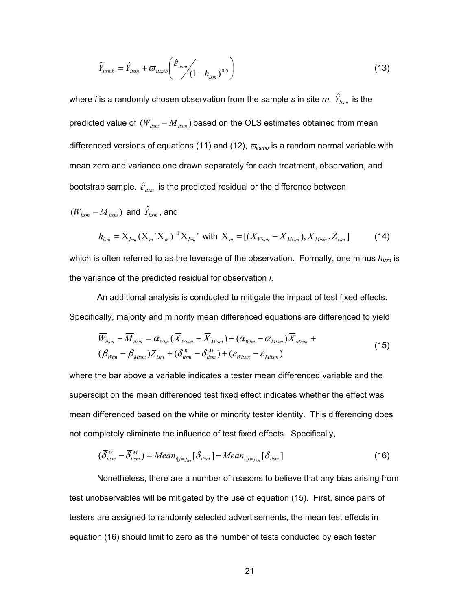$$
\widetilde{Y}_{itsmb} = \hat{Y}_{itsmb} + \varpi_{itsmb} \left( \hat{\varepsilon}_{itsmb} / \left( 1 - h_{tsm} \right)^{0.5} \right) \tag{13}
$$

where *i* is a randomly chosen observation from the sample  $\bm{s}$  in site  $\bm{m},\;\hat{Y}_{_{ltsm}}$  is the predicted value of  $(W_{ltsm} - M_{ltsm})$  based on the OLS estimates obtained from mean differenced versions of equations (11) and (12),  $\bar{w}_{itsmb}$  is a random normal variable with mean zero and variance one drawn separately for each treatment, observation, and bootstrap sample.  $\hat{\varepsilon}_{\text{tsm}}$  is the predicted residual or the difference between

$$
(W_{ltsm} - M_{ltsm})
$$
 and  $\hat{Y}_{ltsm}$ , and  

$$
h_{lsm} = X_{lsm} (X_m^{\dagger} X_m)^{-1} X_{lsm}^{\dagger}
$$
 with  $X_m = [(X_{Wism} - X_{Mism}), X_{Mism}, Z_{ism}]$  (14)

which is often referred to as the leverage of the observation. Formally, one minus 
$$
h_{\text{lsm}}
$$
 is the variance of the predicted residual for observation *i*.

An additional analysis is conducted to mitigate the impact of test fixed effects. Specifically, majority and minority mean differenced equations are differenced to yield

$$
\overline{W}_{itsm} - \overline{M}_{itsm} = \alpha_{Wtm} (\overline{X}_{Wism} - \overline{X}_{Mism}) + (\alpha_{Wtm} - \alpha_{Mtsm}) \overline{X}_{Mism} +
$$
  

$$
(\beta_{Wtm} - \beta_{Mtsm}) \overline{Z}_{ism} + (\overline{\delta}_{itsm}^W - \overline{\delta}_{sism}^M) + (\overline{\epsilon}_{Witsm} - \overline{\epsilon}_{Mitsm})
$$
\n(15)

where the bar above a variable indicates a tester mean differenced variable and the superscipt on the mean differenced test fixed effect indicates whether the effect was mean differenced based on the white or minority tester identity. This differencing does not completely eliminate the influence of test fixed effects. Specifically,

$$
(\overline{\delta}_{itsm}^{W} - \overline{\delta}_{itsm}^{M}) = Mean_{i|j=j_{W_i}} [\delta_{itsm}] - Mean_{i|j=j_{M_i}} [\delta_{itsm}]
$$
\n(16)

Nonetheless, there are a number of reasons to believe that any bias arising from test unobservables will be mitigated by the use of equation (15). First, since pairs of testers are assigned to randomly selected advertisements, the mean test effects in equation (16) should limit to zero as the number of tests conducted by each tester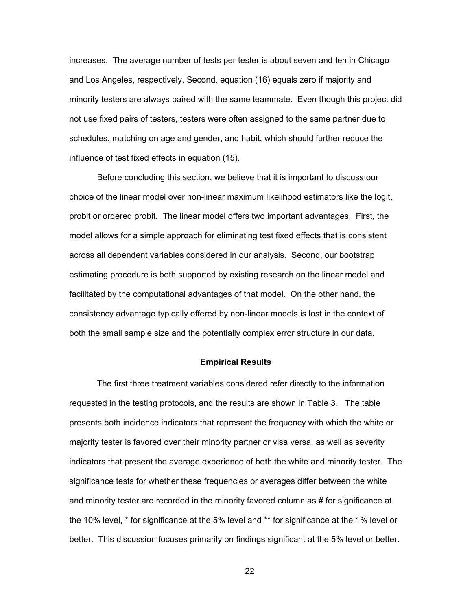increases. The average number of tests per tester is about seven and ten in Chicago and Los Angeles, respectively. Second, equation (16) equals zero if majority and minority testers are always paired with the same teammate. Even though this project did not use fixed pairs of testers, testers were often assigned to the same partner due to schedules, matching on age and gender, and habit, which should further reduce the influence of test fixed effects in equation (15).

Before concluding this section, we believe that it is important to discuss our choice of the linear model over non-linear maximum likelihood estimators like the logit, probit or ordered probit. The linear model offers two important advantages. First, the model allows for a simple approach for eliminating test fixed effects that is consistent across all dependent variables considered in our analysis. Second, our bootstrap estimating procedure is both supported by existing research on the linear model and facilitated by the computational advantages of that model. On the other hand, the consistency advantage typically offered by non-linear models is lost in the context of both the small sample size and the potentially complex error structure in our data.

#### **Empirical Results**

The first three treatment variables considered refer directly to the information requested in the testing protocols, and the results are shown in Table 3. The table presents both incidence indicators that represent the frequency with which the white or majority tester is favored over their minority partner or visa versa, as well as severity indicators that present the average experience of both the white and minority tester. The significance tests for whether these frequencies or averages differ between the white and minority tester are recorded in the minority favored column as # for significance at the 10% level, \* for significance at the 5% level and \*\* for significance at the 1% level or better. This discussion focuses primarily on findings significant at the 5% level or better.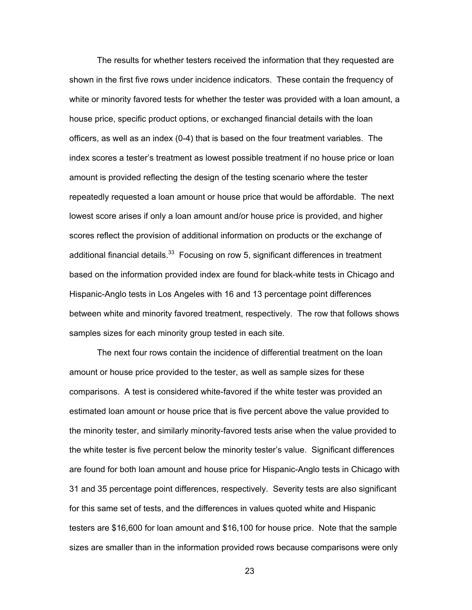The results for whether testers received the information that they requested are shown in the first five rows under incidence indicators. These contain the frequency of white or minority favored tests for whether the tester was provided with a loan amount, a house price, specific product options, or exchanged financial details with the loan officers, as well as an index (0-4) that is based on the four treatment variables. The index scores a tester's treatment as lowest possible treatment if no house price or loan amount is provided reflecting the design of the testing scenario where the tester repeatedly requested a loan amount or house price that would be affordable. The next lowest score arises if only a loan amount and/or house price is provided, and higher scores reflect the provision of additional information on products or the exchange of additional financial details.<sup>33</sup> Focusing on row 5, significant differences in treatment based on the information provided index are found for black-white tests in Chicago and Hispanic-Anglo tests in Los Angeles with 16 and 13 percentage point differences between white and minority favored treatment, respectively. The row that follows shows samples sizes for each minority group tested in each site.

The next four rows contain the incidence of differential treatment on the loan amount or house price provided to the tester, as well as sample sizes for these comparisons. A test is considered white-favored if the white tester was provided an estimated loan amount or house price that is five percent above the value provided to the minority tester, and similarly minority-favored tests arise when the value provided to the white tester is five percent below the minority tester's value. Significant differences are found for both loan amount and house price for Hispanic-Anglo tests in Chicago with 31 and 35 percentage point differences, respectively. Severity tests are also significant for this same set of tests, and the differences in values quoted white and Hispanic testers are \$16,600 for loan amount and \$16,100 for house price. Note that the sample sizes are smaller than in the information provided rows because comparisons were only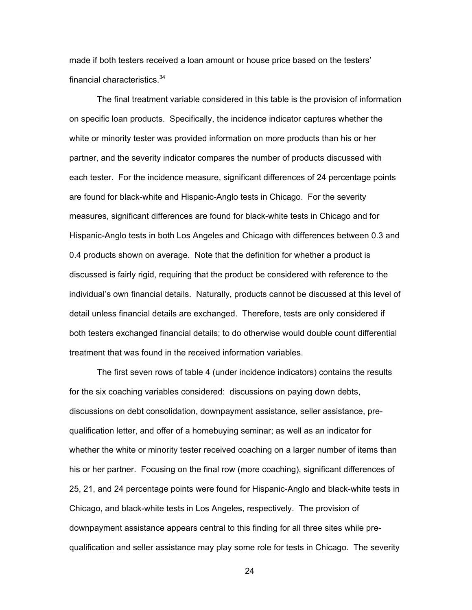made if both testers received a loan amount or house price based on the testers' financial characteristics.<sup>34</sup>

The final treatment variable considered in this table is the provision of information on specific loan products. Specifically, the incidence indicator captures whether the white or minority tester was provided information on more products than his or her partner, and the severity indicator compares the number of products discussed with each tester. For the incidence measure, significant differences of 24 percentage points are found for black-white and Hispanic-Anglo tests in Chicago. For the severity measures, significant differences are found for black-white tests in Chicago and for Hispanic-Anglo tests in both Los Angeles and Chicago with differences between 0.3 and 0.4 products shown on average. Note that the definition for whether a product is discussed is fairly rigid, requiring that the product be considered with reference to the individual's own financial details. Naturally, products cannot be discussed at this level of detail unless financial details are exchanged. Therefore, tests are only considered if both testers exchanged financial details; to do otherwise would double count differential treatment that was found in the received information variables.

The first seven rows of table 4 (under incidence indicators) contains the results for the six coaching variables considered: discussions on paying down debts, discussions on debt consolidation, downpayment assistance, seller assistance, prequalification letter, and offer of a homebuying seminar; as well as an indicator for whether the white or minority tester received coaching on a larger number of items than his or her partner. Focusing on the final row (more coaching), significant differences of 25, 21, and 24 percentage points were found for Hispanic-Anglo and black-white tests in Chicago, and black-white tests in Los Angeles, respectively. The provision of downpayment assistance appears central to this finding for all three sites while prequalification and seller assistance may play some role for tests in Chicago. The severity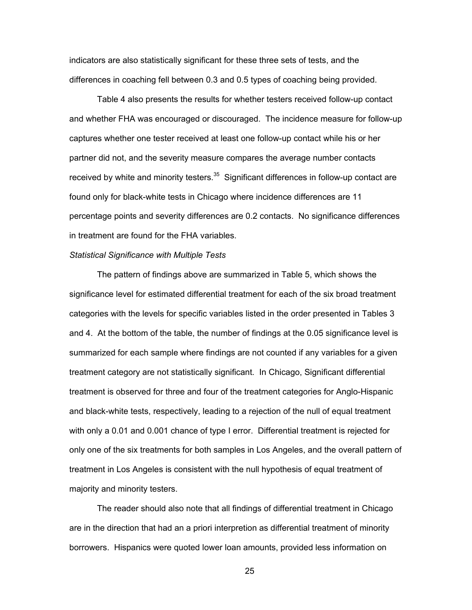indicators are also statistically significant for these three sets of tests, and the differences in coaching fell between 0.3 and 0.5 types of coaching being provided.

Table 4 also presents the results for whether testers received follow-up contact and whether FHA was encouraged or discouraged. The incidence measure for follow-up captures whether one tester received at least one follow-up contact while his or her partner did not, and the severity measure compares the average number contacts received by white and minority testers. $35$  Significant differences in follow-up contact are found only for black-white tests in Chicago where incidence differences are 11 percentage points and severity differences are 0.2 contacts. No significance differences in treatment are found for the FHA variables.

# *Statistical Significance with Multiple Tests*

The pattern of findings above are summarized in Table 5, which shows the significance level for estimated differential treatment for each of the six broad treatment categories with the levels for specific variables listed in the order presented in Tables 3 and 4. At the bottom of the table, the number of findings at the 0.05 significance level is summarized for each sample where findings are not counted if any variables for a given treatment category are not statistically significant. In Chicago, Significant differential treatment is observed for three and four of the treatment categories for Anglo-Hispanic and black-white tests, respectively, leading to a rejection of the null of equal treatment with only a 0.01 and 0.001 chance of type I error. Differential treatment is rejected for only one of the six treatments for both samples in Los Angeles, and the overall pattern of treatment in Los Angeles is consistent with the null hypothesis of equal treatment of majority and minority testers.

The reader should also note that all findings of differential treatment in Chicago are in the direction that had an a priori interpretion as differential treatment of minority borrowers. Hispanics were quoted lower loan amounts, provided less information on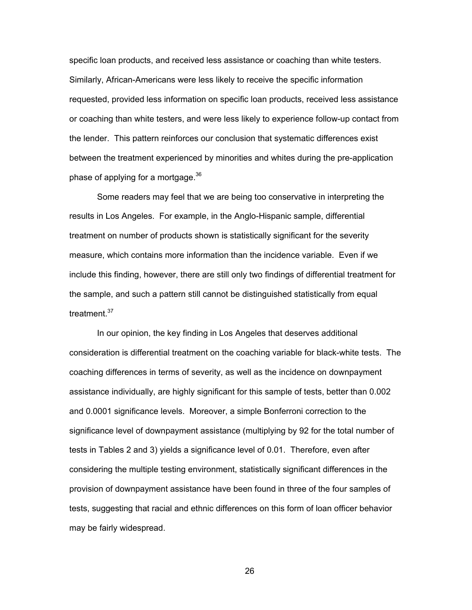specific loan products, and received less assistance or coaching than white testers. Similarly, African-Americans were less likely to receive the specific information requested, provided less information on specific loan products, received less assistance or coaching than white testers, and were less likely to experience follow-up contact from the lender. This pattern reinforces our conclusion that systematic differences exist between the treatment experienced by minorities and whites during the pre-application phase of applying for a mortgage. $36$ 

Some readers may feel that we are being too conservative in interpreting the results in Los Angeles. For example, in the Anglo-Hispanic sample, differential treatment on number of products shown is statistically significant for the severity measure, which contains more information than the incidence variable. Even if we include this finding, however, there are still only two findings of differential treatment for the sample, and such a pattern still cannot be distinguished statistically from equal treatment.<sup>37</sup>

In our opinion, the key finding in Los Angeles that deserves additional consideration is differential treatment on the coaching variable for black-white tests. The coaching differences in terms of severity, as well as the incidence on downpayment assistance individually, are highly significant for this sample of tests, better than 0.002 and 0.0001 significance levels. Moreover, a simple Bonferroni correction to the significance level of downpayment assistance (multiplying by 92 for the total number of tests in Tables 2 and 3) yields a significance level of 0.01. Therefore, even after considering the multiple testing environment, statistically significant differences in the provision of downpayment assistance have been found in three of the four samples of tests, suggesting that racial and ethnic differences on this form of loan officer behavior may be fairly widespread.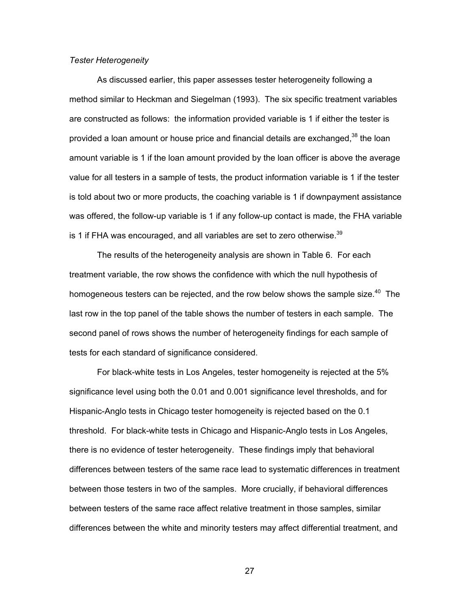### *Tester Heterogeneity*

As discussed earlier, this paper assesses tester heterogeneity following a method similar to Heckman and Siegelman (1993). The six specific treatment variables are constructed as follows: the information provided variable is 1 if either the tester is provided a loan amount or house price and financial details are exchanged,  $38$  the loan amount variable is 1 if the loan amount provided by the loan officer is above the average value for all testers in a sample of tests, the product information variable is 1 if the tester is told about two or more products, the coaching variable is 1 if downpayment assistance was offered, the follow-up variable is 1 if any follow-up contact is made, the FHA variable is 1 if FHA was encouraged, and all variables are set to zero otherwise. $39$ 

The results of the heterogeneity analysis are shown in Table 6. For each treatment variable, the row shows the confidence with which the null hypothesis of homogeneous testers can be rejected, and the row below shows the sample size.<sup>40</sup> The last row in the top panel of the table shows the number of testers in each sample. The second panel of rows shows the number of heterogeneity findings for each sample of tests for each standard of significance considered.

For black-white tests in Los Angeles, tester homogeneity is rejected at the 5% significance level using both the 0.01 and 0.001 significance level thresholds, and for Hispanic-Anglo tests in Chicago tester homogeneity is rejected based on the 0.1 threshold. For black-white tests in Chicago and Hispanic-Anglo tests in Los Angeles, there is no evidence of tester heterogeneity. These findings imply that behavioral differences between testers of the same race lead to systematic differences in treatment between those testers in two of the samples. More crucially, if behavioral differences between testers of the same race affect relative treatment in those samples, similar differences between the white and minority testers may affect differential treatment, and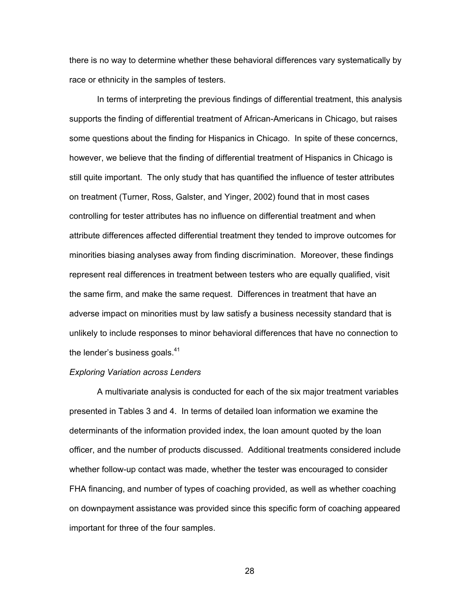there is no way to determine whether these behavioral differences vary systematically by race or ethnicity in the samples of testers.

In terms of interpreting the previous findings of differential treatment, this analysis supports the finding of differential treatment of African-Americans in Chicago, but raises some questions about the finding for Hispanics in Chicago. In spite of these concerncs, however, we believe that the finding of differential treatment of Hispanics in Chicago is still quite important. The only study that has quantified the influence of tester attributes on treatment (Turner, Ross, Galster, and Yinger, 2002) found that in most cases controlling for tester attributes has no influence on differential treatment and when attribute differences affected differential treatment they tended to improve outcomes for minorities biasing analyses away from finding discrimination. Moreover, these findings represent real differences in treatment between testers who are equally qualified, visit the same firm, and make the same request. Differences in treatment that have an adverse impact on minorities must by law satisfy a business necessity standard that is unlikely to include responses to minor behavioral differences that have no connection to the lender's business goals. $41$ 

#### *Exploring Variation across Lenders*

A multivariate analysis is conducted for each of the six major treatment variables presented in Tables 3 and 4. In terms of detailed loan information we examine the determinants of the information provided index, the loan amount quoted by the loan officer, and the number of products discussed. Additional treatments considered include whether follow-up contact was made, whether the tester was encouraged to consider FHA financing, and number of types of coaching provided, as well as whether coaching on downpayment assistance was provided since this specific form of coaching appeared important for three of the four samples.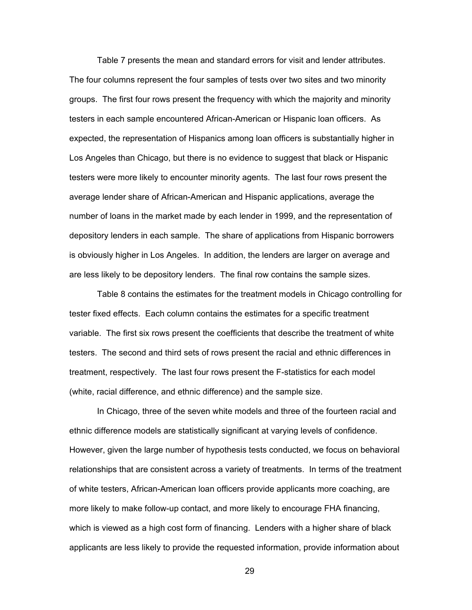Table 7 presents the mean and standard errors for visit and lender attributes. The four columns represent the four samples of tests over two sites and two minority groups. The first four rows present the frequency with which the majority and minority testers in each sample encountered African-American or Hispanic loan officers. As expected, the representation of Hispanics among loan officers is substantially higher in Los Angeles than Chicago, but there is no evidence to suggest that black or Hispanic testers were more likely to encounter minority agents. The last four rows present the average lender share of African-American and Hispanic applications, average the number of loans in the market made by each lender in 1999, and the representation of depository lenders in each sample. The share of applications from Hispanic borrowers is obviously higher in Los Angeles. In addition, the lenders are larger on average and are less likely to be depository lenders. The final row contains the sample sizes.

Table 8 contains the estimates for the treatment models in Chicago controlling for tester fixed effects. Each column contains the estimates for a specific treatment variable. The first six rows present the coefficients that describe the treatment of white testers. The second and third sets of rows present the racial and ethnic differences in treatment, respectively. The last four rows present the F-statistics for each model (white, racial difference, and ethnic difference) and the sample size.

In Chicago, three of the seven white models and three of the fourteen racial and ethnic difference models are statistically significant at varying levels of confidence. However, given the large number of hypothesis tests conducted, we focus on behavioral relationships that are consistent across a variety of treatments. In terms of the treatment of white testers, African-American loan officers provide applicants more coaching, are more likely to make follow-up contact, and more likely to encourage FHA financing, which is viewed as a high cost form of financing. Lenders with a higher share of black applicants are less likely to provide the requested information, provide information about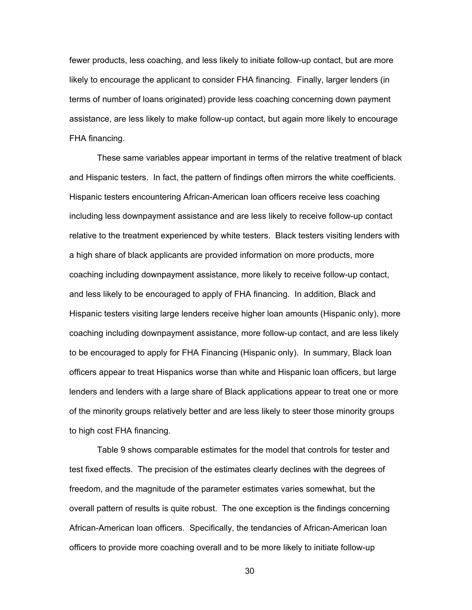fewer products, less coaching, and less likely to initiate follow-up contact, but are more likely to encourage the applicant to consider FHA financing. Finally, larger lenders (in terms of number of loans originated) provide less coaching concerning down payment assistance, are less likely to make follow-up contact, but again more likely to encourage FHA financing.

These same variables appear important in terms of the relative treatment of black and Hispanic testers. In fact, the pattern of findings often mirrors the white coefficients. Hispanic testers encountering African-American loan officers receive less coaching including less downpayment assistance and are less likely to receive follow-up contact relative to the treatment experienced by white testers. Black testers visiting lenders with a high share of black applicants are provided information on more products, more coaching including downpayment assistance, more likely to receive follow-up contact, and less likely to be encouraged to apply of FHA financing. In addition, Black and Hispanic testers visiting large lenders receive higher loan amounts (Hispanic only), more coaching including downpayment assistance, more follow-up contact, and are less likely to be encouraged to apply for FHA Financing (Hispanic only). In summary, Black loan officers appear to treat Hispanics worse than white and Hispanic loan officers, but large lenders and lenders with a large share of Black applications appear to treat one or more of the minority groups relatively better and are less likely to steer those minority groups to high cost FHA financing.

Table 9 shows comparable estimates for the model that controls for tester and test fixed effects. The precision of the estimates clearly declines with the degrees of freedom, and the magnitude of the parameter estimates varies somewhat, but the overall pattern of results is quite robust. The one exception is the findings concerning African-American loan officers. Specifically, the tendancies of African-American loan officers to provide more coaching overall and to be more likely to initiate follow-up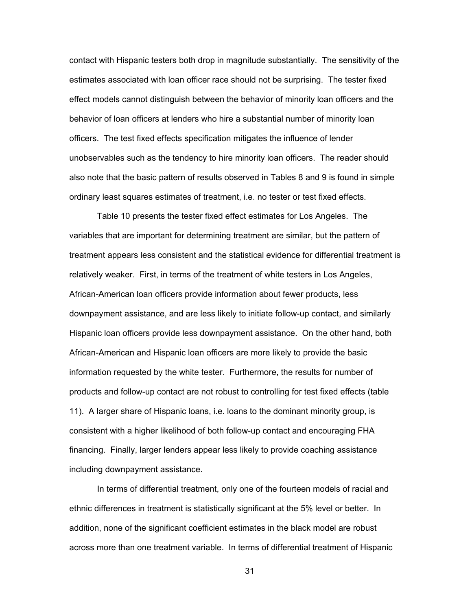contact with Hispanic testers both drop in magnitude substantially. The sensitivity of the estimates associated with loan officer race should not be surprising. The tester fixed effect models cannot distinguish between the behavior of minority loan officers and the behavior of loan officers at lenders who hire a substantial number of minority loan officers. The test fixed effects specification mitigates the influence of lender unobservables such as the tendency to hire minority loan officers. The reader should also note that the basic pattern of results observed in Tables 8 and 9 is found in simple ordinary least squares estimates of treatment, i.e. no tester or test fixed effects.

Table 10 presents the tester fixed effect estimates for Los Angeles. The variables that are important for determining treatment are similar, but the pattern of treatment appears less consistent and the statistical evidence for differential treatment is relatively weaker. First, in terms of the treatment of white testers in Los Angeles, African-American loan officers provide information about fewer products, less downpayment assistance, and are less likely to initiate follow-up contact, and similarly Hispanic loan officers provide less downpayment assistance. On the other hand, both African-American and Hispanic loan officers are more likely to provide the basic information requested by the white tester. Furthermore, the results for number of products and follow-up contact are not robust to controlling for test fixed effects (table 11). A larger share of Hispanic loans, i.e. loans to the dominant minority group, is consistent with a higher likelihood of both follow-up contact and encouraging FHA financing. Finally, larger lenders appear less likely to provide coaching assistance including downpayment assistance.

In terms of differential treatment, only one of the fourteen models of racial and ethnic differences in treatment is statistically significant at the 5% level or better. In addition, none of the significant coefficient estimates in the black model are robust across more than one treatment variable. In terms of differential treatment of Hispanic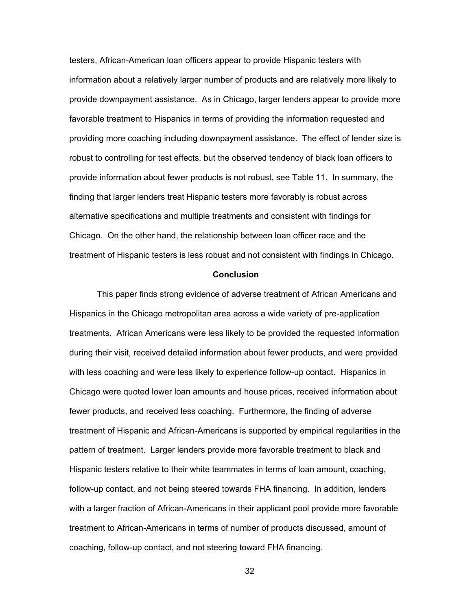testers, African-American loan officers appear to provide Hispanic testers with information about a relatively larger number of products and are relatively more likely to provide downpayment assistance. As in Chicago, larger lenders appear to provide more favorable treatment to Hispanics in terms of providing the information requested and providing more coaching including downpayment assistance. The effect of lender size is robust to controlling for test effects, but the observed tendency of black loan officers to provide information about fewer products is not robust, see Table 11. In summary, the finding that larger lenders treat Hispanic testers more favorably is robust across alternative specifications and multiple treatments and consistent with findings for Chicago. On the other hand, the relationship between loan officer race and the treatment of Hispanic testers is less robust and not consistent with findings in Chicago.

## **Conclusion**

This paper finds strong evidence of adverse treatment of African Americans and Hispanics in the Chicago metropolitan area across a wide variety of pre-application treatments. African Americans were less likely to be provided the requested information during their visit, received detailed information about fewer products, and were provided with less coaching and were less likely to experience follow-up contact. Hispanics in Chicago were quoted lower loan amounts and house prices, received information about fewer products, and received less coaching. Furthermore, the finding of adverse treatment of Hispanic and African-Americans is supported by empirical regularities in the pattern of treatment. Larger lenders provide more favorable treatment to black and Hispanic testers relative to their white teammates in terms of loan amount, coaching, follow-up contact, and not being steered towards FHA financing. In addition, lenders with a larger fraction of African-Americans in their applicant pool provide more favorable treatment to African-Americans in terms of number of products discussed, amount of coaching, follow-up contact, and not steering toward FHA financing.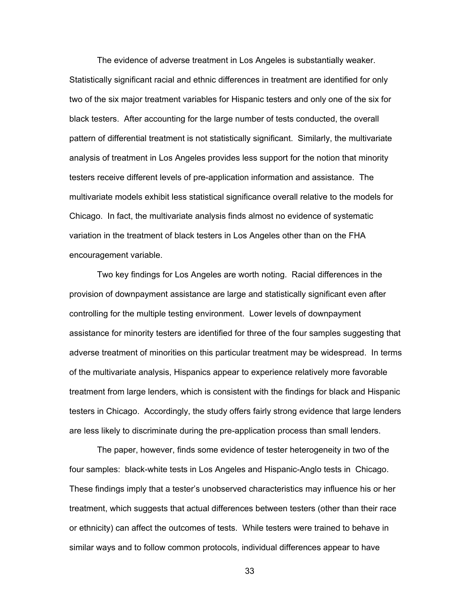The evidence of adverse treatment in Los Angeles is substantially weaker. Statistically significant racial and ethnic differences in treatment are identified for only two of the six major treatment variables for Hispanic testers and only one of the six for black testers. After accounting for the large number of tests conducted, the overall pattern of differential treatment is not statistically significant. Similarly, the multivariate analysis of treatment in Los Angeles provides less support for the notion that minority testers receive different levels of pre-application information and assistance. The multivariate models exhibit less statistical significance overall relative to the models for Chicago. In fact, the multivariate analysis finds almost no evidence of systematic variation in the treatment of black testers in Los Angeles other than on the FHA encouragement variable.

Two key findings for Los Angeles are worth noting. Racial differences in the provision of downpayment assistance are large and statistically significant even after controlling for the multiple testing environment. Lower levels of downpayment assistance for minority testers are identified for three of the four samples suggesting that adverse treatment of minorities on this particular treatment may be widespread. In terms of the multivariate analysis, Hispanics appear to experience relatively more favorable treatment from large lenders, which is consistent with the findings for black and Hispanic testers in Chicago. Accordingly, the study offers fairly strong evidence that large lenders are less likely to discriminate during the pre-application process than small lenders.

The paper, however, finds some evidence of tester heterogeneity in two of the four samples: black-white tests in Los Angeles and Hispanic-Anglo tests in Chicago. These findings imply that a tester's unobserved characteristics may influence his or her treatment, which suggests that actual differences between testers (other than their race or ethnicity) can affect the outcomes of tests. While testers were trained to behave in similar ways and to follow common protocols, individual differences appear to have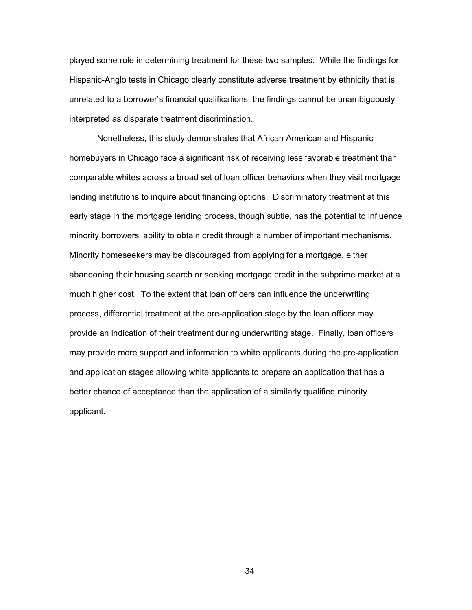played some role in determining treatment for these two samples. While the findings for Hispanic-Anglo tests in Chicago clearly constitute adverse treatment by ethnicity that is unrelated to a borrower's financial qualifications, the findings cannot be unambiguously interpreted as disparate treatment discrimination.

Nonetheless, this study demonstrates that African American and Hispanic homebuyers in Chicago face a significant risk of receiving less favorable treatment than comparable whites across a broad set of loan officer behaviors when they visit mortgage lending institutions to inquire about financing options. Discriminatory treatment at this early stage in the mortgage lending process, though subtle, has the potential to influence minority borrowers' ability to obtain credit through a number of important mechanisms. Minority homeseekers may be discouraged from applying for a mortgage, either abandoning their housing search or seeking mortgage credit in the subprime market at a much higher cost. To the extent that loan officers can influence the underwriting process, differential treatment at the pre-application stage by the loan officer may provide an indication of their treatment during underwriting stage. Finally, loan officers may provide more support and information to white applicants during the pre-application and application stages allowing white applicants to prepare an application that has a better chance of acceptance than the application of a similarly qualified minority applicant.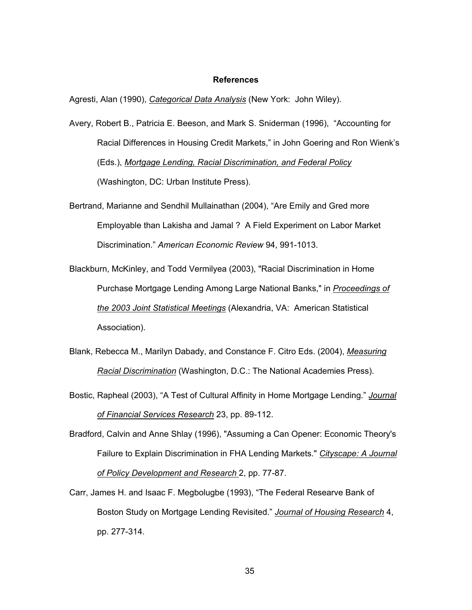#### **References**

Agresti, Alan (1990), *Categorical Data Analysis* (New York: John Wiley).

- Avery, Robert B., Patricia E. Beeson, and Mark S. Sniderman (1996), "Accounting for Racial Differences in Housing Credit Markets," in John Goering and Ron Wienk's (Eds.), *Mortgage Lending, Racial Discrimination, and Federal Policy* (Washington, DC: Urban Institute Press).
- Bertrand, Marianne and Sendhil Mullainathan (2004), "Are Emily and Gred more Employable than Lakisha and Jamal ? A Field Experiment on Labor Market Discrimination." *American Economic Review* 94, 991-1013.
- Blackburn, McKinley, and Todd Vermilyea (2003), "Racial Discrimination in Home Purchase Mortgage Lending Among Large National Banks," in *Proceedings of the 2003 Joint Statistical Meetings* (Alexandria, VA: American Statistical Association).
- Blank, Rebecca M., Marilyn Dabady, and Constance F. Citro Eds. (2004), *Measuring Racial Discrimination* (Washington, D.C.: The National Academies Press).
- Bostic, Rapheal (2003), "A Test of Cultural Affinity in Home Mortgage Lending." *Journal of Financial Services Research* 23, pp. 89-112.
- Bradford, Calvin and Anne Shlay (1996), "Assuming a Can Opener: Economic Theory's Failure to Explain Discrimination in FHA Lending Markets." *Cityscape: A Journal of Policy Development and Research* 2, pp. 77-87.
- Carr, James H. and Isaac F. Megbolugbe (1993), "The Federal Researve Bank of Boston Study on Mortgage Lending Revisited." *Journal of Housing Research* 4, pp. 277-314.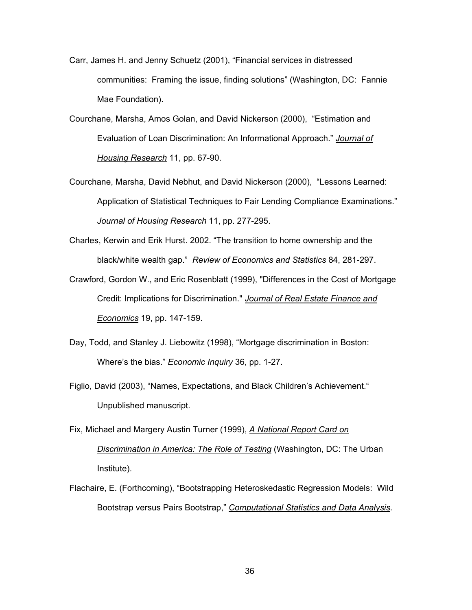- Carr, James H. and Jenny Schuetz (2001), "Financial services in distressed communities: Framing the issue, finding solutions" (Washington, DC: Fannie Mae Foundation).
- Courchane, Marsha, Amos Golan, and David Nickerson (2000), "Estimation and Evaluation of Loan Discrimination: An Informational Approach." *Journal of Housing Research* 11, pp. 67-90.
- Courchane, Marsha, David Nebhut, and David Nickerson (2000), "Lessons Learned: Application of Statistical Techniques to Fair Lending Compliance Examinations." *Journal of Housing Research* 11, pp. 277-295.
- Charles, Kerwin and Erik Hurst. 2002. "The transition to home ownership and the black/white wealth gap." *Review of Economics and Statistics* 84, 281-297.
- Crawford, Gordon W., and Eric Rosenblatt (1999), "Differences in the Cost of Mortgage Credit: Implications for Discrimination." *Journal of Real Estate Finance and Economics* 19, pp. 147-159.
- Day, Todd, and Stanley J. Liebowitz (1998), "Mortgage discrimination in Boston: Where's the bias." *Economic Inquiry* 36, pp. 1-27.
- Figlio, David (2003), "Names, Expectations, and Black Children's Achievement." Unpublished manuscript.
- Fix, Michael and Margery Austin Turner (1999), *A National Report Card on Discrimination in America: The Role of Testing* (Washington, DC: The Urban Institute).
- Flachaire, E. (Forthcoming), "Bootstrapping Heteroskedastic Regression Models: Wild Bootstrap versus Pairs Bootstrap," *Computational Statistics and Data Analysis*.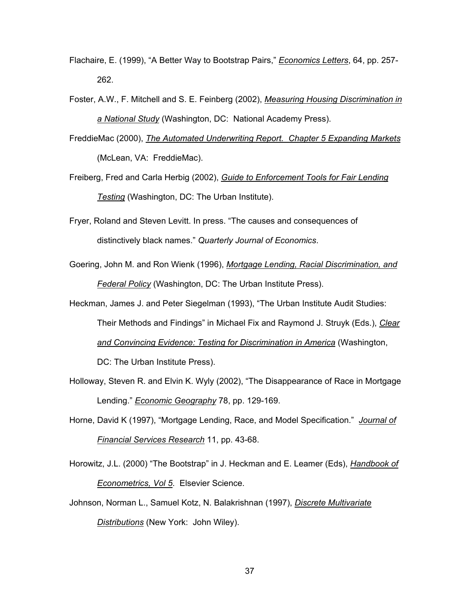- Flachaire, E. (1999), "A Better Way to Bootstrap Pairs," *Economics Letters*, 64, pp. 257- 262.
- Foster, A.W., F. Mitchell and S. E. Feinberg (2002), *Measuring Housing Discrimination in a National Study* (Washington, DC: National Academy Press).
- FreddieMac (2000), *The Automated Underwriting Report. Chapter 5 Expanding Markets* (McLean, VA: FreddieMac).
- Freiberg, Fred and Carla Herbig (2002), *Guide to Enforcement Tools for Fair Lending Testing* (Washington, DC: The Urban Institute).
- Fryer, Roland and Steven Levitt. In press. "The causes and consequences of distinctively black names." *Quarterly Journal of Economics*.
- Goering, John M. and Ron Wienk (1996), *Mortgage Lending, Racial Discrimination, and Federal Policy* (Washington, DC: The Urban Institute Press).

Heckman, James J. and Peter Siegelman (1993), "The Urban Institute Audit Studies: Their Methods and Findings" in Michael Fix and Raymond J. Struyk (Eds.), *Clear and Convincing Evidence: Testing for Discrimination in America* (Washington, DC: The Urban Institute Press).

- Holloway, Steven R. and Elvin K. Wyly (2002), "The Disappearance of Race in Mortgage Lending." *Economic Geography* 78, pp. 129-169.
- Horne, David K (1997), "Mortgage Lending, Race, and Model Specification." *Journal of Financial Services Research* 11, pp. 43-68.
- Horowitz, J.L. (2000) "The Bootstrap" in J. Heckman and E. Leamer (Eds), *Handbook of Econometrics, Vol 5*. Elsevier Science.
- Johnson, Norman L., Samuel Kotz, N. Balakrishnan (1997), *Discrete Multivariate Distributions* (New York: John Wiley).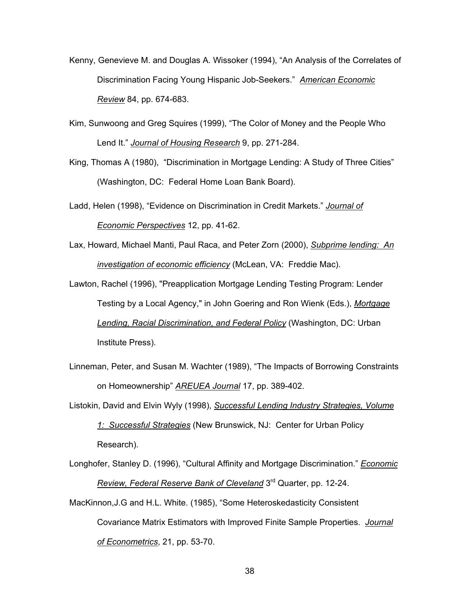- Kenny, Genevieve M. and Douglas A. Wissoker (1994), "An Analysis of the Correlates of Discrimination Facing Young Hispanic Job-Seekers." *American Economic Review* 84, pp. 674-683.
- Kim, Sunwoong and Greg Squires (1999), "The Color of Money and the People Who Lend It." *Journal of Housing Research* 9, pp. 271-284.
- King, Thomas A (1980), "Discrimination in Mortgage Lending: A Study of Three Cities" (Washington, DC: Federal Home Loan Bank Board).
- Ladd, Helen (1998), "Evidence on Discrimination in Credit Markets." *Journal of Economic Perspectives* 12, pp. 41-62.
- Lax, Howard, Michael Manti, Paul Raca, and Peter Zorn (2000), *Subprime lending: An investigation of economic efficiency* (McLean, VA: Freddie Mac).

Lawton, Rachel (1996), "Preapplication Mortgage Lending Testing Program: Lender Testing by a Local Agency," in John Goering and Ron Wienk (Eds.), *Mortgage Lending, Racial Discrimination, and Federal Policy* (Washington, DC: Urban Institute Press).

- Linneman, Peter, and Susan M. Wachter (1989), "The Impacts of Borrowing Constraints on Homeownership" *AREUEA Journal* 17, pp. 389-402.
- Listokin, David and Elvin Wyly (1998), *Successful Lending Industry Strategies, Volume 1: Successful Strategies* (New Brunswick, NJ: Center for Urban Policy Research).
- Longhofer, Stanley D. (1996), "Cultural Affinity and Mortgage Discrimination." *Economic Review, Federal Reserve Bank of Cleveland* 3rd Quarter, pp. 12-24.
- MacKinnon,J.G and H.L. White. (1985), "Some Heteroskedasticity Consistent Covariance Matrix Estimators with Improved Finite Sample Properties. *Journal of Econometrics*, 21, pp. 53-70.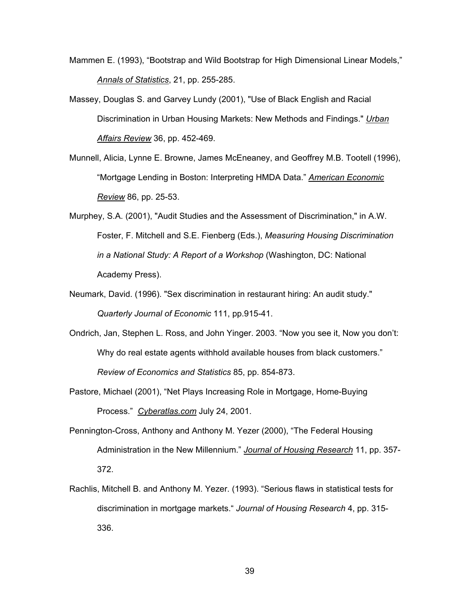- Mammen E. (1993), "Bootstrap and Wild Bootstrap for High Dimensional Linear Models," *Annals of Statistics*, 21, pp. 255-285.
- Massey, Douglas S. and Garvey Lundy (2001), "Use of Black English and Racial Discrimination in Urban Housing Markets: New Methods and Findings." *Urban Affairs Review* 36, pp. 452-469.
- Munnell, Alicia, Lynne E. Browne, James McEneaney, and Geoffrey M.B. Tootell (1996), "Mortgage Lending in Boston: Interpreting HMDA Data." *American Economic Review* 86, pp. 25-53.
- Murphey, S.A. (2001), "Audit Studies and the Assessment of Discrimination," in A.W. Foster, F. Mitchell and S.E. Fienberg (Eds.), *Measuring Housing Discrimination in a National Study: A Report of a Workshop* (Washington, DC: National Academy Press).
- Neumark, David. (1996). "Sex discrimination in restaurant hiring: An audit study." *Quarterly Journal of Economic* 111, pp.915-41.
- Ondrich, Jan, Stephen L. Ross, and John Yinger. 2003. "Now you see it, Now you don't: Why do real estate agents withhold available houses from black customers." *Review of Economics and Statistics* 85, pp. 854-873.
- Pastore, Michael (2001), "Net Plays Increasing Role in Mortgage, Home-Buying Process." *Cyberatlas.com* July 24, 2001.
- Pennington-Cross, Anthony and Anthony M. Yezer (2000), "The Federal Housing Administration in the New Millennium." *Journal of Housing Research* 11, pp. 357- 372.
- Rachlis, Mitchell B. and Anthony M. Yezer. (1993). "Serious flaws in statistical tests for discrimination in mortgage markets." *Journal of Housing Research* 4, pp. 315- 336.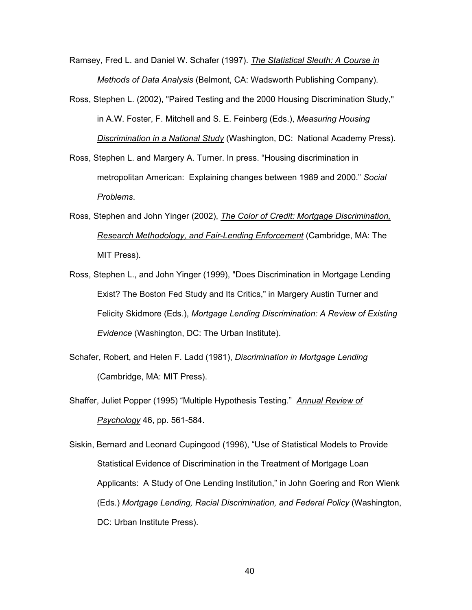Ramsey, Fred L. and Daniel W. Schafer (1997). *The Statistical Sleuth: A Course in Methods of Data Analysis* (Belmont, CA: Wadsworth Publishing Company).

- Ross, Stephen L. (2002), "Paired Testing and the 2000 Housing Discrimination Study," in A.W. Foster, F. Mitchell and S. E. Feinberg (Eds.), *Measuring Housing Discrimination in a National Study* (Washington, DC: National Academy Press).
- Ross, Stephen L. and Margery A. Turner. In press. "Housing discrimination in metropolitan American: Explaining changes between 1989 and 2000." *Social Problems*.
- Ross, Stephen and John Yinger (2002), *The Color of Credit: Mortgage Discrimination, Research Methodology, and Fair-Lending Enforcement* (Cambridge, MA: The MIT Press).
- Ross, Stephen L., and John Yinger (1999), "Does Discrimination in Mortgage Lending Exist? The Boston Fed Study and Its Critics," in Margery Austin Turner and Felicity Skidmore (Eds.), *Mortgage Lending Discrimination: A Review of Existing Evidence* (Washington, DC: The Urban Institute).
- Schafer, Robert, and Helen F. Ladd (1981), *Discrimination in Mortgage Lending* (Cambridge, MA: MIT Press).
- Shaffer, Juliet Popper (1995) "Multiple Hypothesis Testing." *Annual Review of Psychology* 46, pp. 561-584.
- Siskin, Bernard and Leonard Cupingood (1996), "Use of Statistical Models to Provide Statistical Evidence of Discrimination in the Treatment of Mortgage Loan Applicants: A Study of One Lending Institution," in John Goering and Ron Wienk (Eds.) *Mortgage Lending, Racial Discrimination, and Federal Policy* (Washington, DC: Urban Institute Press).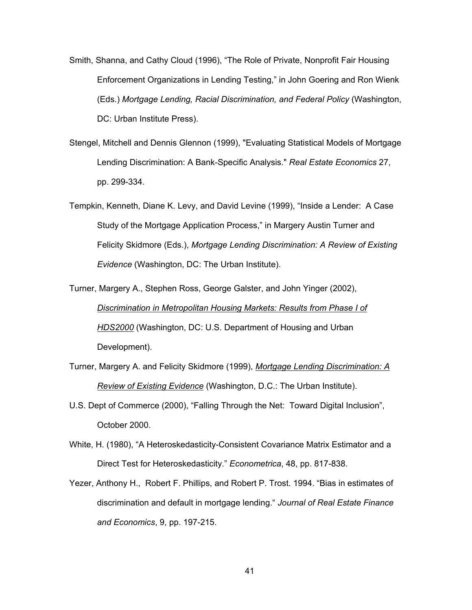- Smith, Shanna, and Cathy Cloud (1996), "The Role of Private, Nonprofit Fair Housing Enforcement Organizations in Lending Testing," in John Goering and Ron Wienk (Eds.) *Mortgage Lending, Racial Discrimination, and Federal Policy* (Washington, DC: Urban Institute Press).
- Stengel, Mitchell and Dennis Glennon (1999), "Evaluating Statistical Models of Mortgage Lending Discrimination: A Bank-Specific Analysis." *Real Estate Economics* 27, pp. 299-334.
- Tempkin, Kenneth, Diane K. Levy, and David Levine (1999), "Inside a Lender: A Case Study of the Mortgage Application Process," in Margery Austin Turner and Felicity Skidmore (Eds.), *Mortgage Lending Discrimination: A Review of Existing Evidence* (Washington, DC: The Urban Institute).
- Turner, Margery A., Stephen Ross, George Galster, and John Yinger (2002), *Discrimination in Metropolitan Housing Markets: Results from Phase I of HDS2000* (Washington, DC: U.S. Department of Housing and Urban Development).
- Turner, Margery A. and Felicity Skidmore (1999), *Mortgage Lending Discrimination: A Review of Existing Evidence* (Washington, D.C.: The Urban Institute).
- U.S. Dept of Commerce (2000), "Falling Through the Net: Toward Digital Inclusion", October 2000.
- White, H. (1980), "A Heteroskedasticity-Consistent Covariance Matrix Estimator and a Direct Test for Heteroskedasticity." *Econometrica*, 48, pp. 817-838.
- Yezer, Anthony H., Robert F. Phillips, and Robert P. Trost. 1994. "Bias in estimates of discrimination and default in mortgage lending." *Journal of Real Estate Finance and Economics*, 9, pp. 197-215.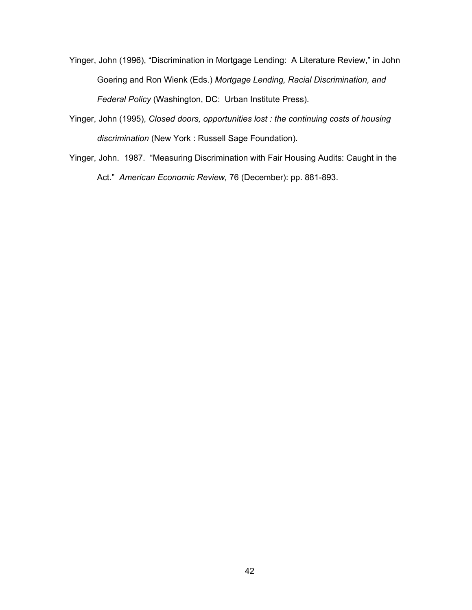Yinger, John (1996), "Discrimination in Mortgage Lending: A Literature Review," in John Goering and Ron Wienk (Eds.) *Mortgage Lending, Racial Discrimination, and Federal Policy* (Washington, DC: Urban Institute Press).

- Yinger, John (1995), *Closed doors, opportunities lost : the continuing costs of housing discrimination* (New York : Russell Sage Foundation).
- Yinger, John. 1987. "Measuring Discrimination with Fair Housing Audits: Caught in the Act." *American Economic Review,* 76 (December): pp. 881-893.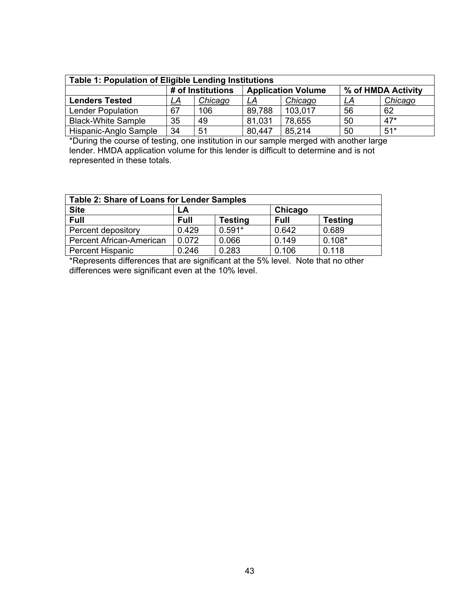| Table 1: Population of Eligible Lending Institutions |    |                   |        |                           |    |                    |
|------------------------------------------------------|----|-------------------|--------|---------------------------|----|--------------------|
|                                                      |    | # of Institutions |        | <b>Application Volume</b> |    | % of HMDA Activity |
| <b>Lenders Tested</b>                                | LA | Chicago           | LA     | Chicago                   | LA | Chicago            |
| <b>Lender Population</b>                             | 67 | 106               | 89,788 | 103,017                   | 56 | 62                 |
| <b>Black-White Sample</b>                            | 35 | 49                | 81,031 | 78,655                    | 50 | $47*$              |
| Hispanic-Anglo Sample                                | 34 | 51                | 80,447 | 85,214                    | 50 | $51*$              |

\*During the course of testing, one institution in our sample merged with another large lender. HMDA application volume for this lender is difficult to determine and is not represented in these totals.

| <b>Table 2: Share of Loans for Lender Samples</b> |             |                |             |                |
|---------------------------------------------------|-------------|----------------|-------------|----------------|
| <b>Site</b>                                       | LA          |                | Chicago     |                |
| Full                                              | <b>Full</b> | <b>Testing</b> | <b>Full</b> | <b>Testing</b> |
| Percent depository                                | 0.429       | $0.591*$       | 0.642       | 0.689          |
| <b>Percent African-American</b>                   | 0.072       | 0.066          | 0.149       | $0.108*$       |
| <b>Percent Hispanic</b>                           | 0.246       | 0.283          | 0.106       | 0.118          |

\*Represents differences that are significant at the 5% level. Note that no other differences were significant even at the 10% level.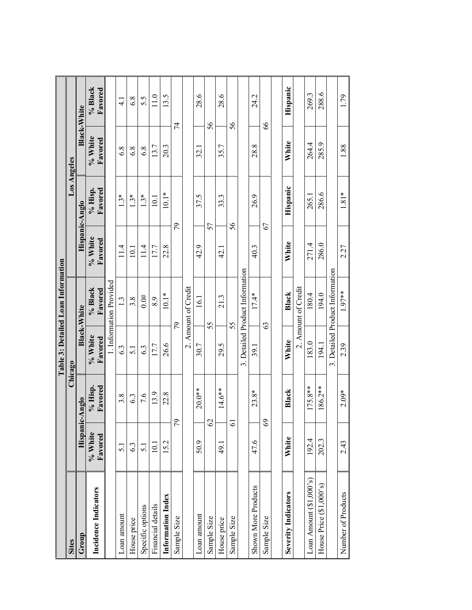|                           |                      |                      |                          | Table 3: Detailed Loan Information |                      |                      |                      |                    |
|---------------------------|----------------------|----------------------|--------------------------|------------------------------------|----------------------|----------------------|----------------------|--------------------|
| <b>Sites</b>              |                      | Chicago              |                          |                                    |                      | Los Angeles          |                      |                    |
| Group                     | Hispani              | olguA-2              |                          | <b>Black-White</b>                 | Hispanic-Anglo       |                      |                      | <b>Black-White</b> |
| Incidence Indicators      | % White<br>Favored   | $%$ Hisp.<br>Favored | % White<br>Favored       | % Black<br>Favored                 | $%$ White<br>Favored | $%$ Hisp.<br>Favored | $%$ White<br>Favored | % Black<br>Favored |
|                           |                      |                      |                          | 1. Information Provided            |                      |                      |                      |                    |
| Loan amount               | $\overline{51}$      | 3.8                  | 6.3                      | 1.3                                | 11.4                 | $1.3*$               | 6.8                  | $\frac{1}{4}$      |
| House price               | 6.3                  | 6.3                  | 5.1                      | 3.8                                | $\overline{0}$       | نډ                   | 6.8                  | 6.8                |
| Specific options          | $\overline{5}$ .     | 7.6                  | 6.3                      | 0.0#                               | 11.4                 | $1.3*$               | 6.8                  | 5.5                |
| Financial details         | 10.1                 | 13.9                 | 17.7                     | 8.9                                | 177                  | 10.1                 | 13.7                 | 110                |
| Information Index         | 15.2                 | 22.8                 | 26.6                     | $10.1*$                            | 22.8                 | $10.1*$              | 20.3                 | 13.5               |
| Sample Size               | $\approx$            |                      |                          | 79                                 | 54                   |                      | 74                   |                    |
|                           |                      |                      | $\overline{\mathcal{N}}$ | Amount of Credit                   |                      |                      |                      |                    |
| Loan amount               | 50.9                 | $20.0**$             | 30.7                     | 16.1                               | 42.9                 | 37.5                 | 32.1                 | 28.6               |
| Sample Size               | $\mathcal{C}$        |                      |                          | 55                                 | 57                   |                      |                      | 56                 |
| House price               | 49.1                 | $14.6***$            | 29.5                     | 21.3                               | $\frac{1}{4}$        | 33.3                 | 35.7                 | 28.6               |
| Sample Size               | $\tilde{\bm{\circ}}$ |                      |                          | 55                                 | 56                   |                      |                      | 56                 |
|                           |                      |                      |                          | 3. Detailed Product Information    |                      |                      |                      |                    |
| Shown More Products       | 47.6                 | $23.8*$              | 39.1                     | $17.4*$                            | 40.3                 | 26.9                 | 28.8                 | 24.2               |
| Sample Size               | $\frac{8}{3}$        |                      | යි                       |                                    | 67                   |                      |                      | 89                 |
|                           |                      |                      |                          |                                    |                      |                      |                      |                    |
| Severity Indicators       | White                | Black                | White                    | Black                              | White                | Hispanic             | White                | Hispanic           |
|                           |                      |                      |                          | 2. Amount of Credit                |                      |                      |                      |                    |
| Loan Amount $(\$1,000's)$ | 192.4                | $175.8**$            | 183.0                    | 180.4                              | 271.4                | 265.1                | 264.4                | 269.3              |
| House Price (\$1,000's)   | 202.3                | 86.2**               | 194.1                    | 194.0                              | 286.0                | 286.6                | 285.9                | 288.6              |
|                           |                      |                      |                          | 3. Detailed Product Information    |                      |                      |                      |                    |
| Number of Products        | 2.43                 | $2.09*$              | 2.39                     | 1.97**                             | 2.27                 | $1.81*$              | 1.88                 | 1.79               |
|                           |                      |                      |                          |                                    |                      |                      |                      |                    |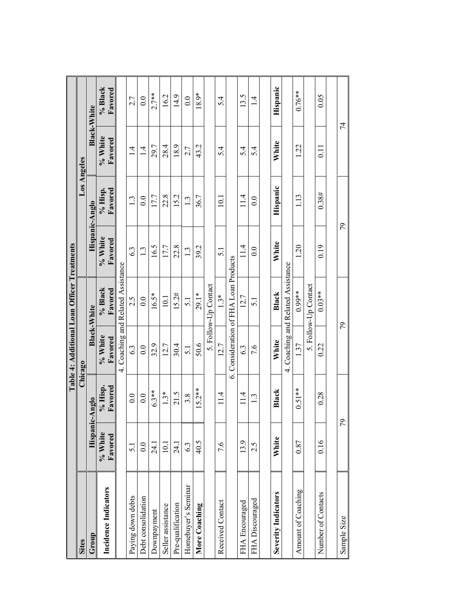|                            |                    |                    | Table 4: Additional Loan Officer Treatments |                                    |                      |                    |                    |                    |
|----------------------------|--------------------|--------------------|---------------------------------------------|------------------------------------|----------------------|--------------------|--------------------|--------------------|
| <b>Sites</b>               |                    |                    | <b>Chicago</b>                              |                                    |                      | Los Angeles        |                    |                    |
| Group                      | Hispani            | c-Anglo            |                                             | <b>Black-White</b>                 |                      | Hispanic-Anglo     |                    | <b>Black-White</b> |
| Incidence Indicators       | % White<br>Favored | % Hisp.<br>Favored | % White<br>Favored                          | % Black<br>Favored                 | % White<br>Favored   | Favored<br>% Hisp. | % White<br>Favored | % Black<br>Favored |
|                            |                    |                    |                                             | 4. Coaching and Related Assistance |                      |                    |                    |                    |
| Paying down debts          | $\overline{5.1}$   | $\overline{0.0}$   | 6.3                                         | 2.5                                | 6.3                  | 1.3                | $\frac{4}{1}$      | 2.7                |
| Debt consolidation         | 0.0                | 0.0                | 0.0                                         | 0.0                                | $\tilde{\mathbf{c}}$ | 0.0                | $\overline{1}$     | $\overline{0.0}$   |
| Downpayment                | 24.1               | $6.3**$            | 32.9                                        | $16.5*$                            | 16.5                 | 17.7               | 29.7               | $2.7***$           |
| Seller assistance          | 10.1               | $1.3*$             | 12.7                                        | 10.1                               | 17.7                 | 22.8               | 28.4               | 16.2               |
| Pre-qualification          | 24.1               | 21.5               | 30.4                                        | 15.2#                              | 22.8                 | 15.2               | 18.9               | 14.9               |
| Homebuyer's Seminar        | 63                 | 3.8                | 5.1                                         | $\overline{51}$                    | 1.3                  | 1.3                | 2.7                | $\overline{0}$ .   |
| More Coaching              | 40.5               | $15.2***$          | 50.6                                        | 29.1*                              | 39.2                 | 36.7               | 43.2               | 18.9*              |
|                            |                    |                    |                                             | 5. Follow-Up Contact               |                      |                    |                    |                    |
| Received Contact           | 7.6                | 11.4               | 12.7                                        | $1.3*$                             | $\overline{5.1}$     | 10.1               | 5.4                | 5.4                |
|                            |                    | $\dot{\circ}$      |                                             | Consideration of FHA Loan Products |                      |                    |                    |                    |
| FHA Encouraged             | 13.9               | 11.4               | 6.3                                         | 12.7                               | 11.4                 | 114                | 5.4                | 13.5               |
| FHA Discouraged            | 2.5                | نى                 | 7.6                                         | $\overline{5.1}$                   | 0.0                  | 0.0                | 5.4                | $\overline{1}$     |
|                            |                    |                    |                                             |                                    |                      |                    |                    |                    |
| <b>Severity Indicators</b> | White              | Black              | White                                       | Black                              | White                | Hispanic           | White              | Hispanic           |
|                            |                    |                    | 4.                                          | Coaching and Related Assistance    |                      |                    |                    |                    |
| Amount of Coaching         | 0.87               | $0.51**$           | 1.37                                        | $0.99**$                           | 1.20                 | 1.13               | 1.22               | $0.76***$          |
|                            |                    |                    |                                             | 5. Follow-Up Contact               |                      |                    |                    |                    |
| Number of Contacts         | 0.16               | 0.28               | 0.22                                        | $0.03**$                           | 0.19                 | 0.38#              | $\overline{0.11}$  | 0.05               |
|                            |                    |                    |                                             |                                    |                      |                    |                    |                    |
| Sample Size                | $\tilde{\zeta}$    |                    | 56                                          |                                    |                      | 79                 |                    | 74                 |
|                            |                    |                    |                                             |                                    |                      |                    |                    |                    |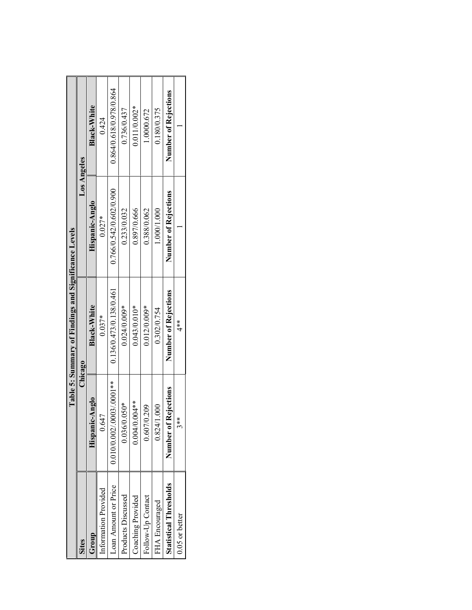|                               |                       | Table 5: Summary of Findings and Significance Levels |                         |                         |
|-------------------------------|-----------------------|------------------------------------------------------|-------------------------|-------------------------|
| <b>Sites</b>                  | Chicago               |                                                      | Los Angeles             |                         |
| dno.r                         | $c$ -Anglo<br>Hispani | <b>Black-White</b>                                   | Hispanic-Anglo          | <b>Black-White</b>      |
| Information Provided          | 0.647                 | $0.037*$                                             | $0.027*$                | 0.424                   |
| Loan Amount or Price          | 0.0100000000030001    | 0.136/0.473/0.138/0.461                              | 0.766/0.542/0.602/0.900 | 0.864/0.618/0.978/0.864 |
| Products Discussed            | $0.050*$<br>0.036/    | $0.024/0.009*$                                       | 0.233/0.032             | 0.736/0.437             |
| Coaching Provided             | $0.004/0.004**$       | $0.043/0.010*$                                       | 0.897/0.666             | $0.011/0.002*$          |
| Follow-Up Contact             | 0.607/0.209           | $0.012/0.009*$                                       | 0.388/0.062             | 1.0000.672              |
| FHA Encouraged                | 0.824/1.000           | 0.302/0.754                                          | 1.000/1.000             | 0.180/0.375             |
| <b>Statistical Thresholds</b> | Number of Rejections  | Number of Rejections                                 | Number of Rejections    | Number of Rejections    |
| $0.05$ or better              | $\frac{*}{2}$         | $\stackrel{*}{4}$                                    |                         |                         |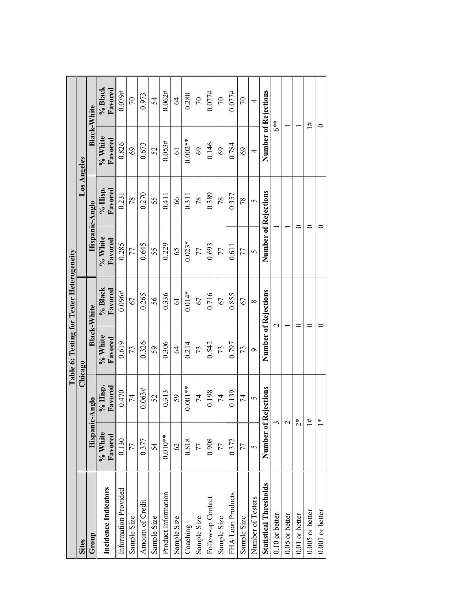|                               |                      |                    |                      | Table 6: Testing for Tester Heterogeneity |                      |                    |                      |                    |
|-------------------------------|----------------------|--------------------|----------------------|-------------------------------------------|----------------------|--------------------|----------------------|--------------------|
| <b>Sites</b>                  |                      | Chicago            |                      |                                           |                      |                    | Los Angeles          |                    |
| $_{\rm Group}$                | Hispan               | c-Anglo            |                      | <b>Black-White</b>                        |                      | Hispanic-Anglo     |                      | <b>Black-White</b> |
| Incidence Indicators          | % White<br>Favored   | % Hisp.<br>Favored | % White<br>Favored   | % Black<br>Favored                        | % White<br>Favored   | % Hisp.<br>Favored | % White<br>Favored   | % Black<br>Favored |
| Information Provided          | 0.130                | 0.470              | 0.619                | $0.096\#$                                 | 0.285                | 0.231              | 0.826                | 0.079#             |
| Sample Size                   | 77                   | 74                 | 73                   | 67                                        | 77                   | 78                 | 69                   | $\overline{C}$     |
| Amount of Credit              | 0.377                | 0.063#             | 0.326                | 0.265                                     | 0.645                | 0.270              | 0.673                | 0.973              |
| Sample Size                   | 54                   | 52                 | 59                   | 56                                        | 55                   | 55                 | 52                   | 54                 |
| Product Information           | $0.010**$            | 0.313              | 0.306                | 0.336                                     | 0.229                | 0.411              | 0.053#               | 0.062#             |
| Sample Size                   | $\mathcal{O}$        | 59                 | $\mathcal{Z}$        | $\overline{6}$                            | 65                   | 89                 | $\overline{6}$       | $\overline{6}$     |
| Coaching                      | 0.818                | $0.001**$          | 0.214                | $0.014*$                                  | $0.023*$             | 0.311              | $0.002**$            | 0.280              |
| Sample Size                   | 77                   | 74                 | 73                   | 67                                        | 77                   | 78                 | 69                   | 70                 |
| Follow-up Contact             | 0.908                | 0.198              | 0.542                | 0.716                                     | 0.693                | 0.389              | 0.146                | 0.077#             |
| Sample Size                   | 77                   | 74                 | 73                   | 67                                        | 77                   | 78                 | 69                   | $\overline{C}$     |
| FHA Loan Products             | 0.372                | 0.139              | 0.797                | 0.855                                     | 0.611                | 0.357              | 0.784                | 0.077#             |
| Sample Size                   | 77                   | 74                 | 73                   | 67                                        | 77                   | 78                 | 69                   | $\overline{0}$     |
| Number of Testers             | 5                    | 5                  | P                    | $\infty$                                  | 5                    | 5                  | 4                    | 4                  |
| <b>Statistical Thresholds</b> | Number of            | Rejections         | Number of Rejections |                                           | Number of Rejections |                    | Number of Rejections |                    |
| $0.10$ or better              |                      |                    | $\mathcal{L}$        |                                           |                      |                    | $6**$                |                    |
| 0.05 or better                |                      |                    |                      |                                           |                      |                    |                      |                    |
| $0.01$ or better              | $\stackrel{*}{\sim}$ |                    | 0                    |                                           | 0                    |                    |                      |                    |
| $0.005$ or better             |                      | #                  | ⊂                    |                                           |                      |                    |                      | #t                 |
| $0.001$ or better             |                      | ⊁                  |                      |                                           |                      |                    | ⊂                    |                    |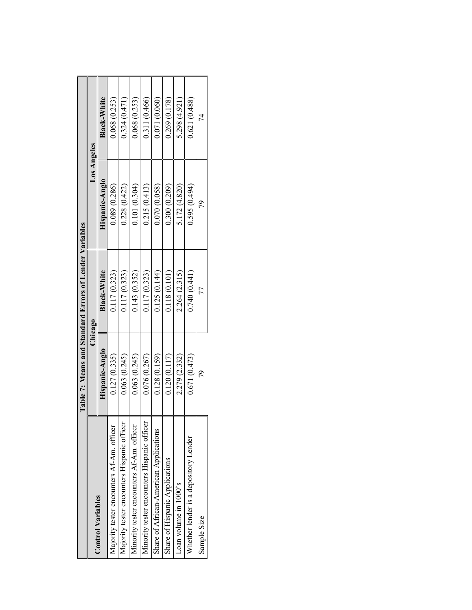|                                             |                | Table 7: Means and Standard Errors of Lender Variables |                |                    |
|---------------------------------------------|----------------|--------------------------------------------------------|----------------|--------------------|
|                                             |                | Chicago                                                | Los Angeles    |                    |
| Control Variables                           | Hispanic-Anglo | Black-White                                            | Hispanic-Anglo | <b>Black-White</b> |
| Majority tester encounters Af-Am. officer   | 0.127(0.335)   | 0.117(0.323)                                           | 0.089 (0.286)  | 0.068 (0.253)      |
| Majority tester encounters Hispanic officer | 0.063(0.245)   | 0.117(0.323)                                           | 0.228(0.422)   | 0.324(0.471)       |
| Minority tester encounters Af-Am. officer   | 0.063(0.245)   | 0.143(0.352)                                           | 0.101(0.304)   | 0.068(0.253)       |
| Minority tester encounters Hispanic officer | 0.076(0.267)   | 0.117(0.323)                                           | 0.215(0.413)   | 0.311 (0.466)      |
| Share of African-American Applications      | 0.128(0.159)   | 0.125(0.144)                                           | 0.070(0.058)   | 0.071(0.060)       |
| Share of Hispanic Applications              | 0.120(0.117)   | 0.118(0.101)                                           | 0.300(0.209)   | 0.269(0.178)       |
| Loan volume in 1000's                       | 2.279 (2.332)  | 2.264 (2.315)                                          | 5.172 (4.820)  | 5.298 (4.921)      |
| Whether lender is a depository Lender       | 0.671(0.473)   | 0.740(0.441)                                           | 0.595(0.494)   | 0.621(0.488)       |
| Sample Size                                 | 79             | 77                                                     | 20             | 74                 |
|                                             |                |                                                        |                |                    |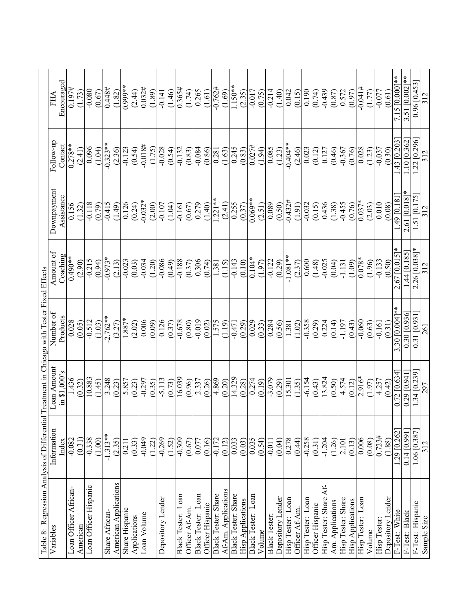| Table 8: Regression Analysis of Differential |                |                | Treatment in Chicago with Tester Fixed Effects |                 |                            |                |                  |
|----------------------------------------------|----------------|----------------|------------------------------------------------|-----------------|----------------------------|----------------|------------------|
| Variables                                    | Information    | Loan Amount    | Number of                                      | Amount of       | Downpayment                | Follow-up      | FHA              |
|                                              | Index          | in \$1,000's   | Products                                       | Coaching        | Assistance                 | Contact        | Encouraged       |
| Loan Officer African-                        | $-0.082$       | 1.436          | 0.028                                          | $0.490**$       | 0.156                      | $0.278**$      | 0.197#           |
| American                                     | (0.31)         | (0.32)         | (0.05)                                         | (2.90)          | (1.32)                     | (2.41)         | (1.73)           |
| Loan Officer Hispanic                        | $-0.338$       | 10.883         | $-0.512$                                       | $-0.215$        | $-0.118$                   | 0.096          | $-0.080$         |
|                                              | (1.00)         | (1.45)         | (1.03)                                         | (0.94)          | (0.79)                     | (1.04)         | (0.67)           |
| Share African-                               | $-1.313**$     | 3.248          | $-2.762**$                                     | $-0.973*$       | $-0.415$                   | $-0.323**$     | 0.448#           |
| American Applications                        | (2.35)         | (0.23)         | (3.27)                                         | (2.13)          | (1.49)                     | (2.36)         | (1.82)           |
| Share Hispanic                               | 0.211          | 5.857          | $1.887*$                                       | $-0.023$        | 0.126                      | $-0.123$       | 0.999**          |
| Applications                                 | (0.33)         | (0.23)         | (2.02)                                         | (0.03)          | (0.24)                     | (0.54)         | (2.44)           |
| Loan Volume                                  | $-0.049$       | $-0.297$       | 0.006                                          | $-0.034$        | $-0.032*$                  | $-0.018$ #     | 0.032#           |
|                                              | (1.22)         | (0.35)         | (0.09)                                         | (1.20)          | (2.00)                     | (1.75)         | (1.89)           |
| Depository Lender                            | $-0.269$       | $-5.113$       | 0.126                                          | $-0.086$        | $-0.107$                   | $-0.028$       | $-0.141$         |
|                                              | (1.52)         | (0.73)         | (0.37)                                         | (0.49)          | (1.04)                     | (0.54)         | (1.46)           |
| Black Tester: Loan                           | $-0.309$       | 16.039         | $-0.678$                                       | $-0.188$        | $-0.161$                   | $-0.132$       | 0.365#           |
| Officer Af-Am                                | (0.67)         | (0.96)         | (0.80)                                         | (0.37)          | (0.67)                     | (0.83)         | (1.74)           |
| Black Tester: Loan                           | 0.077          | 2.337          | $-0.019$                                       | 0.306           | 0.279                      | $-0.084$       | 0.265            |
| Officer Hispanic                             | (0.16)         | (0.26)         | (0.02)                                         | (0.74)          | (1.40)                     | (0.86)         | (1.61)           |
| Black Tester: Share                          | $-0.172$       | 4.869          | 1.575                                          | 1.381           | $1.221**$                  | 0.281          | $-0.762#$        |
| Af-Am. Applications                          | (0.12)         | (0.20)         | (1.19)                                         | (1.15)          | (2.41)                     | (1.63)         | (1.69)           |
| <b>Black Tester: Share</b>                   | 0.033          | 14.329         | $-0.471$                                       | $-0.143$        | 0.255                      | 0.245          | $1.150**$        |
| <b>Hisp Applications</b>                     | (0.03)         | (0.28)         | (0.29)                                         | (0.10)          | (0.37)                     | (0.83)         | (2.35)           |
| Black Tester: Loan                           | 0.035          | 0.274          | 0.029                                          | $0.104*$        | $0.069**$                  | 0.027#         | $-0.017$         |
| Volume                                       | (0.54)         | (0.19)         | (0.33)                                         | (1.97)          | (2.51)                     | (1.94)         | (0.75)           |
| <b>Black Tester</b>                          | $-0.011$       | $-3.079$       | 0.284                                          | $-0.122$        | 0.089                      | 0.085          | $-0.214$         |
| Depository Lender                            | (0.04)         | (0.29)         | (0.56)                                         | (0.29)          | (0.50)                     | (1.23)         | (1.40)           |
| Hisp Tester: Loan                            | 0.278          | 15.301         | 1.381                                          | $-1.081**$      | $-0.432#$                  | $-0.404**$     | 0.042            |
| Officer Af-Am                                | (0.44)         | (1.35)         | (1.02)                                         | (2.37)          | (1.91)                     | (2.46)         | (0.15)           |
| Hisp Tester: Loan                            | $-0.258$       | $-6.154$       | $-0.358$                                       | 0.600           | $-0.032$                   | 0.023          | 0.190            |
| Officer Hispanic                             | (0.31)         | (0.43)         | (0.29)                                         | (1.48)          | (0.15)                     | (0.12)         | (0.74)           |
| Ł<br>Hisp Tester: Share                      | $-1.204$       | 13.824         | 0.224                                          | $-0.025$        | 0.436                      | 0.127          | $-0.439$         |
| Am. Applications                             | (1.26)         | (0.50)         | (0.14)                                         | (0.04)          | (1.38)                     | (0.46)         | (0.87)           |
| Hisp Tester: Share                           | 2.101          | 4.574          | $-1.197$                                       | $-1.131$        | $-0.455$                   | $-0.367$       | 0.572            |
| <b>Hisp Applications</b>                     | (0.13)         | (0.12)         | (0.43)                                         | (1.09)          | (0.76)                     | (0.76)         | (0.97)           |
| Hisp Tester: Loan                            | 0.006          | $2.916*$       | $-0.060$                                       | $0.078*$        | $0.037*$                   | 0.028          | $+14.000 -$      |
| Volume                                       | (0.08)         | (1.97)         | (0.63)                                         | (1.96)          | (2.03)                     | (1.23)         | (1.77)           |
| Hisp Tester                                  | 0.723#         | 4.257          | $-0.161$                                       | (0.50)          | 0.010                      | $-0.037$       | $-0.077$         |
| Depository Lender                            | (1.88)         | (0.42)         | (0.31)                                         |                 | (0.08)                     | (0.30)         | (0.61)           |
| F-Test: White                                | 1.29 [0.262]   | $0.72$ [0.634] | 3.30 $[0.004]$ *                               | $2.67$ [0.015]* | 1.49 [0.18]                | 1.43 [0.203]   | 7.15 [0.000]**   |
| F-Test: Black                                | $0.14$ [0.991] | 0.29 [0.94]    | $0.30\ [0.936]$                                | 1.44[0.185]     | 2.61 [0.018]               | $1.10$ [0.362] | $3.51$ [0.002]** |
| F-Test: Hispanic                             | 1.06 [0.387]   | 1.34 [0.239    | 0.31 [0.93]                                    | $2.26$ [0.038]* | [0.175]<br>$\overline{51}$ | .22 [0.296]    | 0.96 [0.453      |
| Sample Size                                  | 312            | 297            | 261                                            |                 |                            |                |                  |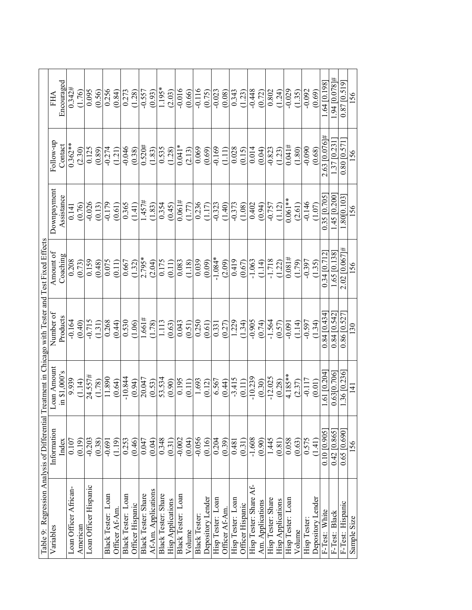|                                                         | FHA         | Encouraged   | 0.342#                | 1.76)    | 0.095                 | (0.56) | 0.256              | (0.84)         | 0.273              | (1.28)           | $-0.557$            | (0.93)              | 1.195*              | (2.03)                   | $-0.016$           | (0.66) | $-0.116$             | (0.75)            |                   | (80.0)         | 0.343             | (1.23)           | $-0.448$               | (0.72)           | 0.802              | (1.24)                   | $-0.029$          | (1.35) | $-0.092$           | (0.69)            | .64[0.198]      | $+34$ [0.078 # | $0.87$ [0.519]   | 156         |
|---------------------------------------------------------|-------------|--------------|-----------------------|----------|-----------------------|--------|--------------------|----------------|--------------------|------------------|---------------------|---------------------|---------------------|--------------------------|--------------------|--------|----------------------|-------------------|-------------------|----------------|-------------------|------------------|------------------------|------------------|--------------------|--------------------------|-------------------|--------|--------------------|-------------------|-----------------|----------------|------------------|-------------|
|                                                         | Follow-up   | Contact      | $0.362**$             | (2.30)   | 0.125                 | (0.89) | $-0.274$           | (1.21)         | $-0.046$           | (0.38)           | 0.520#              | (1.83)              | 0.535               | (1.28)                   | $0.041*$           | (2.13) |                      | (69.0)            | $-0.169$          | (1.11)         | 0.028             | (0.15)           | 0.014                  | (0.04)           | $-0.823$           | (1.23)                   | 0.041#            | (1.80) | $-0.090$           | (0.68)            | $2.63\,10.076$  | $.37$ [0.23]   | $0.80\ [0.57]$   | 156         |
|                                                         | Downpayment | Assistance   | 0.141                 | (0.76)   | $-0.026$              | (0.13) | $-0.179$           | (0.61)         | 0.365              | (1.41)           | 1.457#              | (1.83)              | 0.354               | (0.45)                   | 0.061#             | (1.77) | 0.236                | (1.17)            | $-0.323$          | (1.40)         | (1.08)            |                  | 0.402                  | (0.94)           | $-0.757$           | (1.12)                   | $0.061**$         | (2.61) | $-0.146$           | (1.07)            | 0.35 [0.705]    | $-45$ [0.200   | 80[0.103         | 156         |
|                                                         | Amount of   | Coaching     | 0.208                 | (0.73)   | 0.159                 | (0.48) | 0.075              | (0.11)         | 0.667              | (1.32)           | $2.795*$            | (2.04)              |                     | (0.175)                  | 0.083              | (1.18) | 0.039                | (0.09)            | $-1.084*$         | (2.09)         | 0.419             | (0.67)           | $-1.063$               | (1.14)           | $-1.718$           | (1.22)                   | 0.081#            | (1.79) | $-0.397$           | (1.35)            | 0.34 [0.712     | $.65$ [0.138]  | $2.02$ [0.067]#  | 156         |
| Treatment in Chicago with Tester and Test Fixed Effects | Number of   | Products     | $-0.164$              | (0.40)   | $-0.715$              | 1.31)  | 0.268              | (0.44)         | 0.530              | (1.06)           | .661#               | 1.78)               | 1.113               | (0.63)                   | 0.043              | (0.51) | 0.250                | (0.61)            | 0.331             | (0.27)         | 1.229             | 1.34)            | $-0.905$               | (0.74)           | $-1.564$           | (0.57)                   | $-0.091$          | (1.14) | $-0.597$           | (1.34)            | $0.84\ [0.434$  | 0.84 [0.542    | 0.86 [0.527      | 130         |
|                                                         | Loan Amount | in \$1,000's | 9.939                 | (1.14)   | 24.557#               | (1.78) | 11.890             | (0.64)         | $-10.844$          | (0.94)           | 20.047              | (0.53)              |                     | $53.534$<br>$(0.90)$     | 0.195              | (0.11) | 1.693                | (0.12)            | 6.567             | (0.44)         | $-3.415$          | (0.11)           | $-10.239$              | (0.30)           | $-12.025$          | (0.28)                   | $4.185***$        | (2.37) | $-0.117$           | (0.01)            | $.61$ [0.204    | 0.63[0.706]    | $.36\,[0.236]$   | $\Xi$       |
|                                                         | Information | Index        | 0.107                 | (0.19)   | $-0.203$              | (0.38) | $-0.691$           | (1.19)         | 0.253              | (0.46)           | 0.047               | (0.04)              | 0.348               | (0.31)                   | $-0.002$           | (0.04) | $-0.056$             | (0.16)            | 0.204             | (0.39)         | 0.481             | (0.31)           | $-1.608$               | (0.90)           | 1.445              | (0.81)                   | 0.058             | (0.63) | 0.575              | (1.41)            | $0.10\ [0.905]$ | $0.42$ [0.865] | $0.65\ [0.690]$  | 156         |
| Table 9: Regression Analysis of Differentia             | Variables   |              | Loan Officer African- | American | Loan Officer Hispanic |        | Black Tester: Loan | Officer Af-Am. | Black Tester: Loan | Officer Hispanic | Black Tester: Share | Af-Am. Applications | Black Tester: Share | <b>Hisp Applications</b> | Black Tester: Loan | Volume | <b>Black Tester:</b> | Depository Lender | Hisp Tester: Loan | Officer Af-Am. | Hisp Tester: Loan | Officer Hispanic | Hisp Tester: Share Af- | Am. Applications | Hisp Tester: Share | <b>Hisp Applications</b> | Hisp Tester: Loan | Volume | <b>Hisp Tester</b> | Depository Lender | F-Test: White   | F-Test: Black  | F-Test: Hispanic | Sample Size |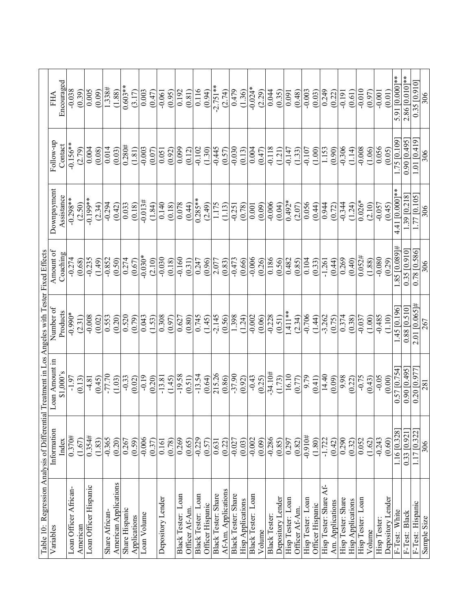|                                                                                                  | FHA            | Encouraged | $-0.038$              | (0.39)   | 0.005                 | (0.09) | 1.338#         | (1.88)                | $0.603**$      | (3.17)       | 0.003       | (0.47) | $-0.061$          | (0.95) | 0.192                                    | (0.81)         | 0.116              | (0.94)           | $-2.751**$          | (2.74)              | 0.479               | (1.36)                   | $-0.024*$          | (2.29) | 0.044                | (0.35)            | 0.091             | (0.48)         | $-0.003$          | (0.03)           | 0.249                   | (0.22)           | $-0.191$           | (0.61)                   | $-0.010$            | (0.97) | $-0.001$     | (0.01)            | 5.91 [0.000]**   | $2.86$ [0.010]** | 0.35 [0.910]                  | 306         |
|--------------------------------------------------------------------------------------------------|----------------|------------|-----------------------|----------|-----------------------|--------|----------------|-----------------------|----------------|--------------|-------------|--------|-------------------|--------|------------------------------------------|----------------|--------------------|------------------|---------------------|---------------------|---------------------|--------------------------|--------------------|--------|----------------------|-------------------|-------------------|----------------|-------------------|------------------|-------------------------|------------------|--------------------|--------------------------|---------------------|--------|--------------|-------------------|------------------|------------------|-------------------------------|-------------|
|                                                                                                  | Follow-up      | Contact    | $-0.156**$            | (2.79)   | 0.004                 | (0.08) | 0.014          | (0.03)                | 0.280#         | (1.81)       | $-0.003$    | (0.07) | 0.051             | (0.92) | 0.099                                    | (0.12)         | $-0.102$           | (1.30)           | $-0.445$            | (0.57)              | $-0.030$            | (0.13)                   | 0.004              | (0.47) | $-0.118$             | (1.21)            | $-0.147$          | (1.33)         | $-0.107$          | (1.00)           | 1.153                   | (0.90)           | $-0.306$           | (1.14)                   | $-0.008$            | (1.06) | 0.056        | (0.05)            | 1.75 [0.109]     | 0.90 10.495      | $-10.419$<br>$\overline{101}$ | 306         |
|                                                                                                  | Downpayment    | Assistance | $-0.298**$            | (2.50)   | $-0.199**$            | (2.34) | $-0.294$       | (0.42)                | 0.033          | (0.18)       | $-0.013#$   | (1.84) | 0.140             | (0.18) | 0.078                                    | (0.44)         | $0.285**$          | (2.49)           | 1.175               | (1.13)              | $-0.251$            | (0.78)                   | 0.001              | (0.09) | $-0.006$             | (0.04)            | $0.492*$          | (2.07)         | 0.056             | (0.44)           | 0.944                   | (0.72)           | $-0.344$           | (1.24)                   | $\frac{1}{0.026}$ * | (2.10) | $-0.057$     | (0.45)            | $4.41[0.000]$ ** | $1.39$ [0.218]   | $.77$ [0.105]                 | 306         |
|                                                                                                  | Amount of      | Coaching   | $-0.274$              | (0.68)   | $-0.235$              | (1.49) | $-0.852$       | (0.50)                | 0.274          | (0.67)       | $-0.030*$   | (2.10) | $-0.030$          | (0.18) | $-0.160$                                 | (0.31)         | 0.247              | (0.96)           | 2.077               | (0.83)              | $-0.473$            | (0.66)                   | $-0.006$           | (0.26) | 0.186                | (0.56)            | 0.482             | (0.85)         | 0.104             | (0.33)           | $-1.261$                | (0.44)           | 0.269              | (0.40)                   | 0.052#              | (1.88) | $-0.080$     | (0.29)            | $1.85\,0.089$ #  | 0.35[0.910]      | 0.78 [0.586]                  | 306         |
|                                                                                                  | Number of      | Products   | $-0.990*$             | (2.31)   | $-0.008$              | (0.02) | 0.553          | (0.20)                | 0.520          | (0.79)       | 0.043       | (1.53) | 0.308             | (0.97) | 0.627                                    | (0.80)         | 0.745              | (1.45)           | $-2.145$            | (0.56)              | 1.398               | (1.24)                   | $-0.002$           | (0.06) | $-0.228$             | (0.51)            | 1.411**           | (2.34)         | $-0.706$          | (1.44)           | $-3.262$                | (0.75)           | 0.374              | (0.38)                   | $-0.037$            | (1.00) | $-0.485$     | (1.10)            | 1.45 [0.196]     | $0.88$ [0.510]   | $2.01$ [0.065]#               | 267         |
|                                                                                                  | Loan Amount in | \$1.000's  | $-1.97$               | (0.13)   | $-4.81$               | (0.45) | $-77.70$       | (1.03)                | $-0.33$        | (0.02)       | $-0.19$     | (0.20) | $-13.81$          | (1.45) | $-19.58$                                 | (0.51)         | $-13.54$           | (0.64)           | 215.26              | (0.86)              | $-37.90$            | (0.92)                   | $-0.43$            | (0.25) | $-34.10#$            | (1.73)            | 16.10             | (0.77)         | 9.79              | (0.41)           | 14.40                   | (0.09)           | 9.98               | (0.22)                   | $-0.75$             | (0.43) | $-0.05$      | (0.00)            | 0.57 [0.754      | 0.90 [0.495]     | 0.20 [0.977                   | 281         |
|                                                                                                  | Information    | Index      | 0.370#                | (1.67)   | 0.354#                | (1.83) | $-0.365$       | (0.20)                | 0.267          | (0.59)       | $-0.006$    | (0.37) | 0.161             | (0.78) | 0.269                                    | (0.65)         | $-0.229$           | (0.57)           | 0.631               | (0.22)              | $-0.027$            | (0.03)                   | $-0.002$           | (0.09) | $-0.286$             | (0.85)            | 0.297             | (0.82)         | $+0.910$ #        | (1.80)           | $-1.722$                | (0.42)           | 0.290              | (0.32)                   | 0.052               | (1.62) | $-0.243$     | (0.60)            | 1.16 [0.328]     | $0.33$ [0.921]   | 1.17 [0.322]                  | 306         |
| Table 10: Regression Analysis of Differential Treatment in Los Angeles with Tester Fixed Effects | Variables      |            | Loan Officer African- | American | Loan Officer Hispanic |        | Share African- | American Applications | Share Hispanic | Applications | Loan Volume |        | Depository Lender |        | $_{\text{Lozn}}$<br><b>Black Tester:</b> | Officer Af-Am. | Black Tester: Loan | Officer Hispanic | Black Tester: Share | Af-Am. Applications | Black Tester: Share | <b>Hisp Applications</b> | Black Tester: Loan | Volume | <b>Black Tester:</b> | Depository Lender | Hisp Tester: Loan | Officer Af-Am. | Hisp Tester: Loan | Officer Hispanic | Ł<br>Hisp Tester: Share | Am. Applications | Hisp Tester: Share | <b>Hisp Applications</b> | Hisp Tester: Loan   | Volume | Hisp Tester: | Depository Lender | F-Test: White    | F-Test: Black    | F-Test: Hispanic              | Sample Size |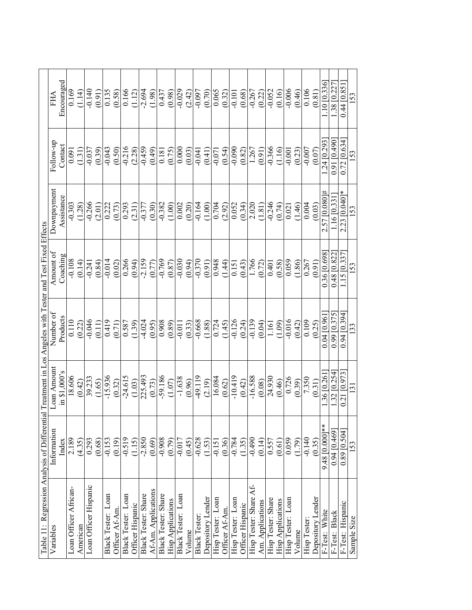|                                                                                                           | FHA         | Encouraged   | 0.169                 | 1.14     | $-0.140$              | (0.91) | 0.135              | (0.58)         | 0.166              | (1.12)           | $-2.694$                   | (1.98)              | 0.437               | (0.98)                   | $-0.029$           | (2.42) | $-0.097$             | (0.70)            | 0.065             | (0.32)         | $-0.101$           | (0.68)           | $-0.267$               | (0.22)           | $-0.052$           | (0.16)                   | $-0.006$          | (0.46) | 0.106       | (0.81)            | [0.336]<br>$\frac{1}{10}$ | [0.227]<br>.38 | 0.44[0.85]       | 153              |
|-----------------------------------------------------------------------------------------------------------|-------------|--------------|-----------------------|----------|-----------------------|--------|--------------------|----------------|--------------------|------------------|----------------------------|---------------------|---------------------|--------------------------|--------------------|--------|----------------------|-------------------|-------------------|----------------|--------------------|------------------|------------------------|------------------|--------------------|--------------------------|-------------------|--------|-------------|-------------------|---------------------------|----------------|------------------|------------------|
|                                                                                                           | Follow-up   | Contact      | 0.091                 | 1.31)    | $-0.037$              | (0.39) | $-0.043$           | (0.50)         | $-0.216$           | (2.28)           | $-0.459$                   | (0.49)              | 0.181               | (0.75)                   | 0.000              | (0.03) | $-0.041$             | (0.41)            | $-0.071$          | (0.54)         | $-0.090$           | (0.82)           | 1.267                  | (0.91)           | $-0.366$           | (1.16)                   | $-0.001$          | (0.23) | $-0.007$    | (0.07)            | 24 [0.293                 | 0.91 [0.490]   | $0.72$ [0.634]   | 153              |
|                                                                                                           | Downpayment | Assistance   | $-0.303$              | 1.28     | $-0.266$              | (2.01) | 0.222              | (0.73)         | 0.293              | (2.31)           | $-0.377$                   | (0.30)              | $-0.382$            | (1.00)                   | 0.002              | (0.20) | $-0.164$             | (1.00)            | 0.704             | (2.92)         | 0.052              | (0.34)           | 2.020                  | (1.81)           | $-0.246$           | (0.74)                   | 0.021             | (1.46) | 0.004       | (0.03)            | 2.57 [0.080 #             | .16[0.33]      | 2.23 [0.040]*    | 153              |
|                                                                                                           | Amount of   | Coaching     | $-0.108$              | (0.14)   | $-0.241$              | (0.84) | $-0.014$           | (0.02)         | 0.266              | (0.94)           | $-2.159$                   | (0.77)              | $-0.769$            | (0.87)                   | $-0.030$           | (0.94) | $-0.370$             | (0.91)            | 0.948             | (1.44)         | 0.151              | (0.43)           | 1.766                  | (0.72)           | 0.401              | (0.58)                   | 0.059             | (1.86) | 0.267       | (0.91)            | 0.36 [0.698]              | 0.48 [0.822    | 1.15[0.337]      | <b>153</b>       |
|                                                                                                           | Number of   | Products     | 0.110                 | (0.22)   | $-0.046$              | (0.11) | 0.419              | (0.71)         | 0.587              | (1.39)           | $-4.024$                   | (0.95)              | 0.908               | (0.89)                   | $-0.011$           | (0.33) | $-0.668$             | (1.88)            | 0.724             | (1.45)         | $-0.126$           | (0.24)           | $-0.139$               | (0.04)           | 1.161              | (1.09)                   | $-0.016$          | (0.42) | 0.109       | (0.25)            | 0.0410.961                | 0.99 [0.375    | 0.94 [0.394]     | 133              |
|                                                                                                           | Loan Amount | in \$1,000's | 18.606                | (0.42)   | 39.233                | (1.65) | $-15.936$          | (0.32)         | $-24.615$          | (1.03)           | 225.493                    | (0.73)              | $-59.186$           | (1.07)                   | $-1.638$           | (0.96) | $-49.119$            | (2.19)            | 16.084            | (0.62)         | $-10.419$          | (0.42)           | $-16.588$              | (0.08)           | 24.930             | (0.46)                   | 0.726             | (0.39) | 7.350       | (0.31)            | .36 [0.26]                | .32 [0.254]    | 0.21 [0.973]     | $\overline{131}$ |
|                                                                                                           | Information | Index        | 2.189                 | (4.35)   | 0.293                 | (0.68) | $-0.153$           | (0.19)         | $-0.519$           | (1.15)           | $-2.850$                   | (0.69)              | $-0.908$            | (0.79)                   | $-0.017$           | (0.45) | $-0.628$             | (1.53)            | $-0.151$          | (0.36)         | $-0.784$<br>(1.35) |                  | $-0.490$               | (0.14)           | 0.557              | (0.61)                   | 0.059             | (1.79) | $-0.140$    | (0.35)            | 9.48 [0.000]**            | 0.94 [0.469]   | $0.89$ [0.504]   | 153              |
| Table 11: Regression Analysis of Differential Treatment in Los Angeles with Tester and Test Fixed Effects | Variables   |              | Loan Officer African- | American | Loan Officer Hispanic |        | Black Tester: Loan | Officer Af-Am. | Black Tester: Loan | Officer Hispanic | <b>Black Tester: Share</b> | Af-Am. Applications | Black Tester: Share | <b>Hisp Applications</b> | Black Tester: Loan | Volume | <b>Black Tester:</b> | Depository Lender | Hisp Tester: Loan | Officer Af-Am. | Hisp Tester: Loan  | Officer Hispanic | Hisp Tester: Share Af- | Am. Applications | Hisp Tester: Share | <b>Hisp Applications</b> | Hisp Tester: Loan | Volume | Hisp Tester | Depository Lender | F-Test: White             | F-Test: Black  | F-Test: Hispanic | Sample Size      |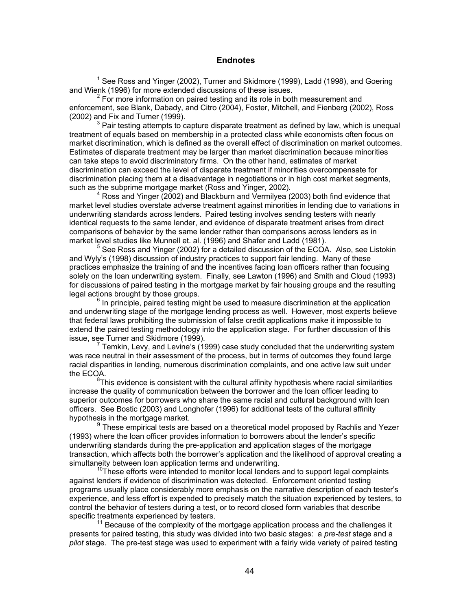## **Endnotes**

 $\begin{array}{c|c}\n\hline\n\end{array}$ <sup>1</sup> See Ross and Yinger (2002), Turner and Skidmore (1999), Ladd (1998), and Goering and Wienk (1996) for more extended discussions of these issues. <sup>2</sup>

 $2^2$  For more information on paired testing and its role in both measurement and enforcement, see Blank, Dabady, and Citro (2004), Foster, Mitchell, and Fienberg (2002), Ross (2002) and Fix and Turner (1999). <sup>3</sup>

 $3$  Pair testing attempts to capture disparate treatment as defined by law, which is unequal treatment of equals based on membership in a protected class while economists often focus on market discrimination, which is defined as the overall effect of discrimination on market outcomes. Estimates of disparate treatment may be larger than market discrimination because minorities can take steps to avoid discriminatory firms. On the other hand, estimates of market discrimination can exceed the level of disparate treatment if minorities overcompensate for discrimination placing them at a disadvantage in negotiations or in high cost market segments, such as the subprime mortgage market (Ross and Yinger, 2002).

 $4$  Ross and Yinger (2002) and Blackburn and Vermilyea (2003) both find evidence that market level studies overstate adverse treatment against minorities in lending due to variations in underwriting standards across lenders. Paired testing involves sending testers with nearly identical requests to the same lender, and evidence of disparate treatment arises from direct comparisons of behavior by the same lender rather than comparisons across lenders as in market level studies like Munnell et. al. (1996) and Shafer and Ladd (1981).

 See Ross and Yinger (2002) for a detailed discussion of the ECOA. Also, see Listokin and Wyly's (1998) discussion of industry practices to support fair lending. Many of these practices emphasize the training of and the incentives facing loan officers rather than focusing solely on the loan underwriting system. Finally, see Lawton (1996) and Smith and Cloud (1993) for discussions of paired testing in the mortgage market by fair housing groups and the resulting legal actions brought by those groups.

 $<sup>6</sup>$  In principle, paired testing might be used to measure discrimination at the application</sup> and underwriting stage of the mortgage lending process as well. However, most experts believe that federal laws prohibiting the submission of false credit applications make it impossible to extend the paired testing methodology into the application stage. For further discussion of this issue, see Turner and Skidmore (1999).

 $^7$  Temkin, Levy, and Levine's (1999) case study concluded that the underwriting system was race neutral in their assessment of the process, but in terms of outcomes they found large racial disparities in lending, numerous discrimination complaints, and one active law suit under the ECOA.

<sup>8</sup>This evidence is consistent with the cultural affinity hypothesis where racial similarities increase the quality of communication between the borrower and the loan officer leading to superior outcomes for borrowers who share the same racial and cultural background with loan officers. See Bostic (2003) and Longhofer (1996) for additional tests of the cultural affinity hypothesis in the mortgage market.

 $9$  These empirical tests are based on a theoretical model proposed by Rachlis and Yezer (1993) where the loan officer provides information to borrowers about the lender's specific underwriting standards during the pre-application and application stages of the mortgage transaction, which affects both the borrower's application and the likelihood of approval creating a simultaneity between loan application terms and underwriting.<br><sup>10</sup>These efforts were intended to monitor local lenders and to support legal complaints

against lenders if evidence of discrimination was detected. Enforcement oriented testing programs usually place considerably more emphasis on the narrative description of each tester's experience, and less effort is expended to precisely match the situation experienced by testers, to control the behavior of testers during a test, or to record closed form variables that describe specific treatments experienced by testers.<br><sup>11</sup> Because of the complexity of the mortgage application process and the challenges it

presents for paired testing, this study was divided into two basic stages: a *pre-test* stage and a *pilot* stage. The pre-test stage was used to experiment with a fairly wide variety of paired testing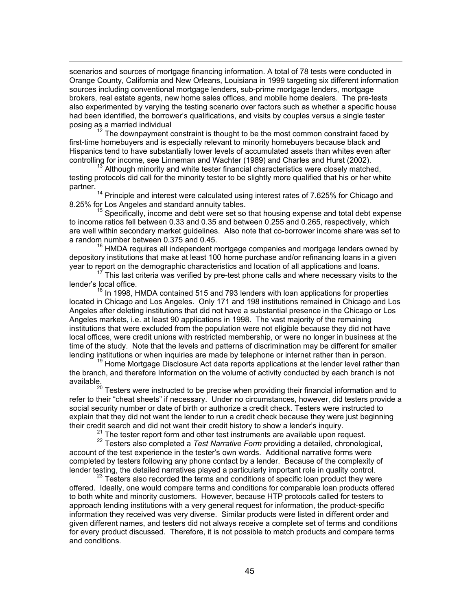scenarios and sources of mortgage financing information. A total of 78 tests were conducted in Orange County, California and New Orleans, Louisiana in 1999 targeting six different information sources including conventional mortgage lenders, sub-prime mortgage lenders, mortgage brokers, real estate agents, new home sales offices, and mobile home dealers. The pre-tests also experimented by varying the testing scenario over factors such as whether a specific house had been identified, the borrower's qualifications, and visits by couples versus a single tester

-

posing as a married individual<br><sup>12</sup> The downpayment constraint is thought to be the most common constraint faced by first-time homebuyers and is especially relevant to minority homebuyers because black and Hispanics tend to have substantially lower levels of accumulated assets than whites even after controlling for income, see Linneman and Wachter (1989) and Charles and Hurst (2002).<br><sup>13</sup> Although minority and white tester financial characteristics were closely matched,

testing protocols did call for the minority tester to be slightly more qualified that his or her white

partner.<br><sup>14</sup> Principle and interest were calculated using interest rates of 7.625% for Chicago and 8.25% for Los Angeles and standard annuity tables.<br><sup>15</sup> Specifically, income and debt were set so that housing expense and total debt expense

to income ratios fell between 0.33 and 0.35 and between 0.255 and 0.265, respectively, which are well within secondary market guidelines. Also note that co-borrower income share was set to a random number between 0.375 and 0.45.

 $16$  HMDA requires all independent mortgage companies and mortgage lenders owned by depository institutions that make at least 100 home purchase and/or refinancing loans in a given<br>year to report on the demographic characteristics and location of all applications and loans.

 $17$  This last criteria was verified by pre-test phone calls and where necessary visits to the lender's local office.

 $18$  In 1998, HMDA contained 515 and 793 lenders with loan applications for properties located in Chicago and Los Angeles. Only 171 and 198 institutions remained in Chicago and Los Angeles after deleting institutions that did not have a substantial presence in the Chicago or Los Angeles markets, i.e. at least 90 applications in 1998. The vast majority of the remaining institutions that were excluded from the population were not eligible because they did not have local offices, were credit unions with restricted membership, or were no longer in business at the time of the study. Note that the levels and patterns of discrimination may be different for smaller lending institutions or when inquiries are made by telephone or internet rather than in person.<br><sup>19</sup> Home Mortgage Disclosure Act data reports applications at the lender level rather than

the branch, and therefore Information on the volume of activity conducted by each branch is not available.

 $20$  Testers were instructed to be precise when providing their financial information and to refer to their "cheat sheets" if necessary. Under no circumstances, however, did testers provide a social security number or date of birth or authorize a credit check. Testers were instructed to explain that they did not want the lender to run a credit check because they were just beginning<br>their credit search and did not want their credit history to show a lender's inquiry.

<sup>21</sup> The tester report form and other test instruments are available upon request.<br><sup>22</sup> Testers also completed a *Test Narrative Form* providing a detailed, chronological, account of the test experience in the tester's own words. Additional narrative forms were completed by testers following any phone contact by a lender. Because of the complexity of lender testing, the detailed narratives played a particularly important role in quality control.<br><sup>23</sup> Testers also recorded the terms and conditions of specific loan product they were

offered. Ideally, one would compare terms and conditions for comparable loan products offered to both white and minority customers. However, because HTP protocols called for testers to approach lending institutions with a very general request for information, the product-specific information they received was very diverse. Similar products were listed in different order and given different names, and testers did not always receive a complete set of terms and conditions for every product discussed. Therefore, it is not possible to match products and compare terms and conditions.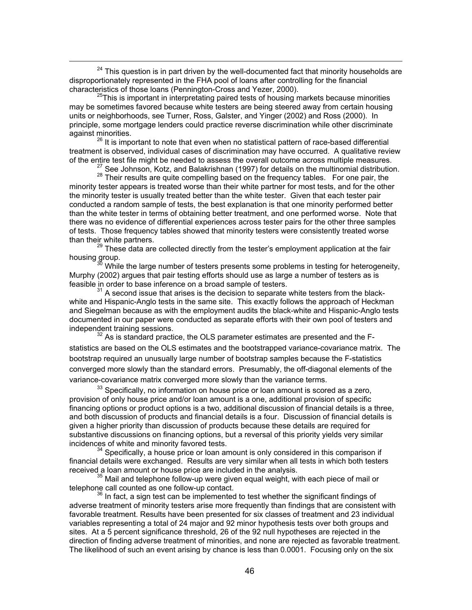$24$  This question is in part driven by the well-documented fact that minority households are disproportionately represented in the FHA pool of loans after controlling for the financial characteristics of those loans (Pennington-Cross and Yezer, 2000).

<sup>25</sup>This is important in interpretating paired tests of housing markets because minorities may be sometimes favored because white testers are being steered away from certain housing units or neighborhoods, see Turner, Ross, Galster, and Yinger (2002) and Ross (2000). In principle, some mortgage lenders could practice reverse discrimination while other discriminate

against minorities.<br><sup>26</sup> It is important to note that even when no statistical pattern of race-based differential treatment is observed, individual cases of discrimination may have occurred. A qualitative review<br>of the entire test file might be needed to assess the overall outcome across multiple measures.

 $^{27}$  See Johnson, Kotz, and Balakrishnan (1997) for details on the multinomial distribution.

<sup>28</sup> Their results are quite compelling based on the frequency tables. For one pair, the minority tester appears is treated worse than their white partner for most tests, and for the other the minority tester is usually treated better than the white tester. Given that each tester pair conducted a random sample of tests, the best explanation is that one minority performed better than the white tester in terms of obtaining better treatment, and one performed worse. Note that there was no evidence of differential experiences across tester pairs for the other three samples of tests. Those frequency tables showed that minority testers were consistently treated worse than their white partners.<br><sup>29</sup> These data are collected directly from the tester's employment application at the fair

housing group.<br><sup>30</sup> While the large number of testers presents some problems in testing for heterogeneity,

Murphy (2002) argues that pair testing efforts should use as large a number of testers as is feasible in order to base inference on a broad sample of testers.

 $31$  A second issue that arises is the decision to separate white testers from the blackwhite and Hispanic-Anglo tests in the same site. This exactly follows the approach of Heckman and Siegelman because as with the employment audits the black-white and Hispanic-Anglo tests documented in our paper were conducted as separate efforts with their own pool of testers and independent training sessions.<br><sup>32</sup> As is standard practice, the OLS parameter estimates are presented and the F-

statistics are based on the OLS estimates and the bootstrapped variance-covariance matrix. The bootstrap required an unusually large number of bootstrap samples because the F-statistics converged more slowly than the standard errors. Presumably, the off-diagonal elements of the variance-covariance matrix converged more slowly than the variance terms.

 $33$  Specifically, no information on house price or loan amount is scored as a zero, provision of only house price and/or loan amount is a one, additional provision of specific financing options or product options is a two, additional discussion of financial details is a three, and both discussion of products and financial details is a four. Discussion of financial details is given a higher priority than discussion of products because these details are required for substantive discussions on financing options, but a reversal of this priority yields very similar incidences of white and minority favored tests.<br><sup>34</sup> Specifically, a house price or loan amount is only considered in this comparison if

financial details were exchanged. Results are very similar when all tests in which both testers received a loan amount or house price are included in the analysis.

<sup>35</sup> Mail and telephone follow-up were given equal weight, with each piece of mail or telephone call counted as one follow-up contact.

 $36$  In fact, a sign test can be implemented to test whether the significant findings of adverse treatment of minority testers arise more frequently than findings that are consistent with favorable treatment. Results have been presented for six classes of treatment and 23 individual variables representing a total of 24 major and 92 minor hypothesis tests over both groups and sites. At a 5 percent significance threshold, 26 of the 92 null hypotheses are rejected in the direction of finding adverse treatment of minorities, and none are rejected as favorable treatment. The likelihood of such an event arising by chance is less than 0.0001. Focusing only on the six